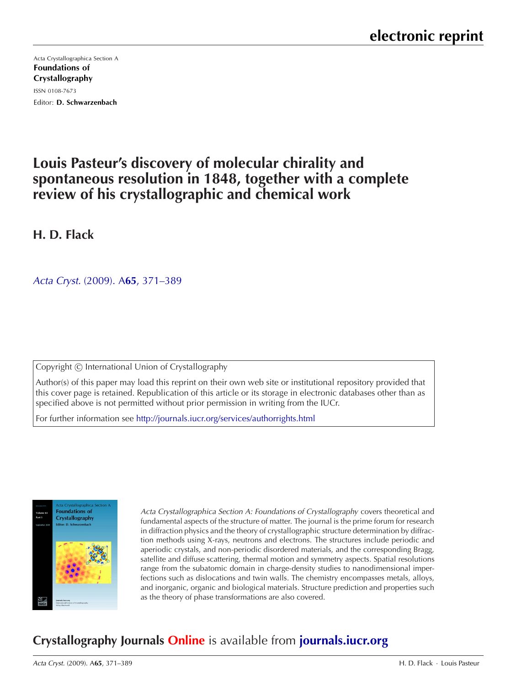[Acta Crystallographica Section A](http://journals.iucr.org/a/) Foundations of Crystallography ISSN 0108-7673 Editor: D. Schwarzenbach

## **Louis Pasteur's discovery of molecular chirality and spontaneous resolution in 1848, together with a complete review of his crystallographic and chemical work**

**H. D. Flack**

Acta Cryst. (2009). A**65**[, 371–389](http://dx.doi.org/10.1107/S0108767309024088)

Copyright © International Union of Crystallography

Author(s) of this paper may load this reprint on their own web site or institutional repository provided that this cover page is retained. Republication of this article or its storage in electronic databases other than as specified above is not permitted without prior permission in writing from the IUCr.

For further information see <http://journals.iucr.org/services/authorrights.html>



Acta Crystallographica Section A: Foundations of Crystallography covers theoretical and fundamental aspects of the structure of matter. The journal is the prime forum for research in diffraction physics and the theory of crystallographic structure determination by diffraction methods using X-rays, neutrons and electrons. The structures include periodic and aperiodic crystals, and non-periodic disordered materials, and the corresponding Bragg, satellite and diffuse scattering, thermal motion and symmetry aspects. Spatial resolutions range from the subatomic domain in charge-density studies to nanodimensional imperfections such as dislocations and twin walls. The chemistry encompasses metals, alloys, and inorganic, organic and biological materials. Structure prediction and properties such as the theory of phase transformations are also covered.

# **Crystallography Journals Online** is available from **[journals.iucr.org](http://journals.iucr.org)**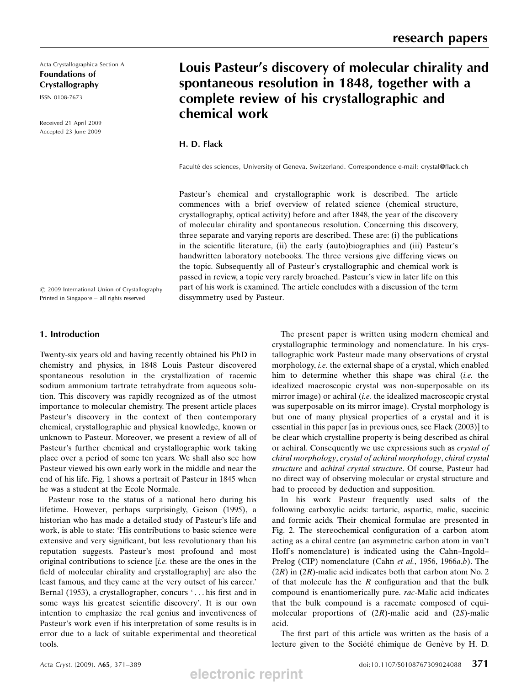Acta Crystallographica Section A Foundations of Crystallography

ISSN 0108-7673

Received 21 April 2009 Accepted 23 June 2009

## Louis Pasteur's discovery of molecular chirality and spontaneous resolution in 1848, together with a complete review of his crystallographic and chemical work

## H. D. Flack

Faculté des sciences, University of Geneva, Switzerland. Correspondence e-mail: crystal@flack.ch

Pasteur's chemical and crystallographic work is described. The article commences with a brief overview of related science (chemical structure, crystallography, optical activity) before and after 1848, the year of the discovery of molecular chirality and spontaneous resolution. Concerning this discovery, three separate and varying reports are described. These are: (i) the publications in the scientific literature, (ii) the early (auto)biographies and (iii) Pasteur's handwritten laboratory notebooks. The three versions give differing views on the topic. Subsequently all of Pasteur's crystallographic and chemical work is passed in review, a topic very rarely broached. Pasteur's view in later life on this part of his work is examined. The article concludes with a discussion of the term dissymmetry used by Pasteur.

 $\odot$  2009 International Union of Crystallography Printed in Singapore – all rights reserved

#### 1. Introduction

Twenty-six years old and having recently obtained his PhD in chemistry and physics, in 1848 Louis Pasteur discovered spontaneous resolution in the crystallization of racemic sodium ammonium tartrate tetrahydrate from aqueous solution. This discovery was rapidly recognized as of the utmost importance to molecular chemistry. The present article places Pasteur's discovery in the context of then contemporary chemical, crystallographic and physical knowledge, known or unknown to Pasteur. Moreover, we present a review of all of Pasteur's further chemical and crystallographic work taking place over a period of some ten years. We shall also see how Pasteur viewed his own early work in the middle and near the end of his life. Fig. 1 shows a portrait of Pasteur in 1845 when he was a student at the Ecole Normale.

Pasteur rose to the status of a national hero during his lifetime. However, perhaps surprisingly, Geison (1995), a historian who has made a detailed study of Pasteur's life and work, is able to state: 'His contributions to basic science were extensive and very significant, but less revolutionary than his reputation suggests. Pasteur's most profound and most original contributions to science [i.e. these are the ones in the field of molecular chirality and crystallography] are also the least famous, and they came at the very outset of his career.' Bernal (1953), a crystallographer, concurs '... his first and in some ways his greatest scientific discovery'. It is our own intention to emphasize the real genius and inventiveness of Pasteur's work even if his interpretation of some results is in error due to a lack of suitable experimental and theoretical tools.

The present paper is written using modern chemical and crystallographic terminology and nomenclature. In his crystallographic work Pasteur made many observations of crystal morphology, i.e. the external shape of a crystal, which enabled him to determine whether this shape was chiral (i.e. the idealized macroscopic crystal was non-superposable on its mirror image) or achiral (i.e. the idealized macroscopic crystal was superposable on its mirror image). Crystal morphology is but one of many physical properties of a crystal and it is essential in this paper [as in previous ones, see Flack (2003)] to be clear which crystalline property is being described as chiral or achiral. Consequently we use expressions such as *crystal of* chiral morphology, crystal of achiral morphology, chiral crystal structure and achiral crystal structure. Of course, Pasteur had no direct way of observing molecular or crystal structure and had to proceed by deduction and supposition.

In his work Pasteur frequently used salts of the following carboxylic acids: tartaric, aspartic, malic, succinic and formic acids. Their chemical formulae are presented in Fig. 2. The stereochemical configuration of a carbon atom acting as a chiral centre (an asymmetric carbon atom in van't Hoff's nomenclature) is indicated using the Cahn–Ingold– Prelog (CIP) nomenclature (Cahn et al., 1956, 1966a,b). The  $(2R)$  in  $(2R)$ -malic acid indicates both that carbon atom No. 2 of that molecule has the  $R$  configuration and that the bulk compound is enantiomerically pure. rac-Malic acid indicates that the bulk compound is a racemate composed of equimolecular proportions of  $(2R)$ -malic acid and  $(2S)$ -malic acid.

The first part of this article was written as the basis of a lecture given to the Société chimique de Genève by H. D.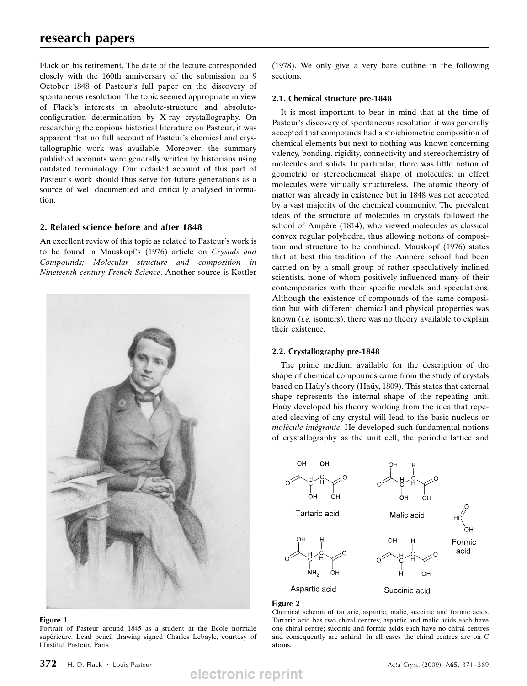Flack on his retirement. The date of the lecture corresponded closely with the 160th anniversary of the submission on 9 October 1848 of Pasteur's full paper on the discovery of spontaneous resolution. The topic seemed appropriate in view of Flack's interests in absolute-structure and absoluteconfiguration determination by X-ray crystallography. On researching the copious historical literature on Pasteur, it was apparent that no full account of Pasteur's chemical and crystallographic work was available. Moreover, the summary published accounts were generally written by historians using outdated terminology. Our detailed account of this part of Pasteur's work should thus serve for future generations as a source of well documented and critically analysed information.

## 2. Related science before and after 1848

An excellent review of this topic as related to Pasteur's work is to be found in Mauskopf's (1976) article on Crystals and Compounds; Molecular structure and composition in Nineteenth-century French Science. Another source is Kottler



#### Figure 1

Portrait of Pasteur around 1845 as a student at the Ecole normale supérieure. Lead pencil drawing signed Charles Lebayle, courtesy of l'Institut Pasteur, Paris.

(1978). We only give a very bare outline in the following sections.

#### 2.1. Chemical structure pre-1848

It is most important to bear in mind that at the time of Pasteur's discovery of spontaneous resolution it was generally accepted that compounds had a stoichiometric composition of chemical elements but next to nothing was known concerning valency, bonding, rigidity, connectivity and stereochemistry of molecules and solids. In particular, there was little notion of geometric or stereochemical shape of molecules; in effect molecules were virtually structureless. The atomic theory of matter was already in existence but in 1848 was not accepted by a vast majority of the chemical community. The prevalent ideas of the structure of molecules in crystals followed the school of Ampère (1814), who viewed molecules as classical convex regular polyhedra, thus allowing notions of composition and structure to be combined. Mauskopf (1976) states that at best this tradition of the Ampère school had been carried on by a small group of rather speculatively inclined scientists, none of whom positively influenced many of their contemporaries with their specific models and speculations. Although the existence of compounds of the same composition but with different chemical and physical properties was known (*i.e.* isomers), there was no theory available to explain their existence.

## 2.2. Crystallography pre-1848

The prime medium available for the description of the shape of chemical compounds came from the study of crystals based on Haüy's theory (Haüy, 1809). This states that external shape represents the internal shape of the repeating unit. Hauv developed his theory working from the idea that repeated cleaving of any crystal will lead to the basic nucleus or molécule intégrante. He developed such fundamental notions of crystallography as the unit cell, the periodic lattice and



#### Figure 2

Chemical schema of tartaric, aspartic, malic, succinic and formic acids. Tartaric acid has two chiral centres; aspartic and malic acids each have one chiral centre; succinic and formic acids each have no chiral centres and consequently are achiral. In all cases the chiral centres are on C atoms.

**electronic reprint**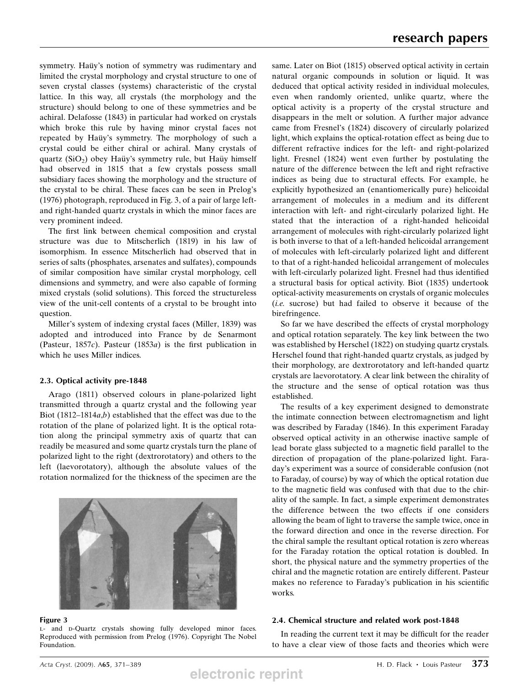symmetry. Haüy's notion of symmetry was rudimentary and limited the crystal morphology and crystal structure to one of seven crystal classes (systems) characteristic of the crystal lattice. In this way, all crystals (the morphology and the structure) should belong to one of these symmetries and be achiral. Delafosse (1843) in particular had worked on crystals which broke this rule by having minor crystal faces not repeated by Haüy's symmetry. The morphology of such a crystal could be either chiral or achiral. Many crystals of quartz  $(SiO<sub>2</sub>)$  obey Haüy's symmetry rule, but Haüy himself had observed in 1815 that a few crystals possess small subsidiary faces showing the morphology and the structure of the crystal to be chiral. These faces can be seen in Prelog's (1976) photograph, reproduced in Fig. 3, of a pair of large leftand right-handed quartz crystals in which the minor faces are very prominent indeed.

The first link between chemical composition and crystal structure was due to Mitscherlich (1819) in his law of isomorphism. In essence Mitscherlich had observed that in series of salts (phosphates, arsenates and sulfates), compounds of similar composition have similar crystal morphology, cell dimensions and symmetry, and were also capable of forming mixed crystals (solid solutions). This forced the structureless view of the unit-cell contents of a crystal to be brought into question.

Miller's system of indexing crystal faces (Miller, 1839) was adopted and introduced into France by de Senarmont (Pasteur, 1857c). Pasteur (1853a) is the first publication in which he uses Miller indices.

## 2.3. Optical activity pre-1848

Arago (1811) observed colours in plane-polarized light transmitted through a quartz crystal and the following year Biot  $(1812-1814a,b)$  established that the effect was due to the rotation of the plane of polarized light. It is the optical rotation along the principal symmetry axis of quartz that can readily be measured and some quartz crystals turn the plane of polarized light to the right (dextrorotatory) and others to the left (laevorotatory), although the absolute values of the rotation normalized for the thickness of the specimen are the



#### Figure 3

L- and D-Quartz crystals showing fully developed minor faces. Reproduced with permission from Prelog (1976). Copyright The Nobel Foundation.

same. Later on Biot (1815) observed optical activity in certain natural organic compounds in solution or liquid. It was deduced that optical activity resided in individual molecules, even when randomly oriented, unlike quartz, where the optical activity is a property of the crystal structure and disappears in the melt or solution. A further major advance came from Fresnel's (1824) discovery of circularly polarized light, which explains the optical-rotation effect as being due to different refractive indices for the left- and right-polarized light. Fresnel (1824) went even further by postulating the nature of the difference between the left and right refractive indices as being due to structural effects. For example, he explicitly hypothesized an (enantiomerically pure) helicoidal arrangement of molecules in a medium and its different interaction with left- and right-circularly polarized light. He stated that the interaction of a right-handed helicoidal arrangement of molecules with right-circularly polarized light is both inverse to that of a left-handed helicoidal arrangement of molecules with left-circularly polarized light and different to that of a right-handed helicoidal arrangement of molecules with left-circularly polarized light. Fresnel had thus identified a structural basis for optical activity. Biot (1835) undertook optical-activity measurements on crystals of organic molecules (i.e. sucrose) but had failed to observe it because of the birefringence.

So far we have described the effects of crystal morphology and optical rotation separately. The key link between the two was established by Herschel (1822) on studying quartz crystals. Herschel found that right-handed quartz crystals, as judged by their morphology, are dextrorotatory and left-handed quartz crystals are laevorotatory. A clear link between the chirality of the structure and the sense of optical rotation was thus established.

The results of a key experiment designed to demonstrate the intimate connection between electromagnetism and light was described by Faraday (1846). In this experiment Faraday observed optical activity in an otherwise inactive sample of lead borate glass subjected to a magnetic field parallel to the direction of propagation of the plane-polarized light. Faraday's experiment was a source of considerable confusion (not to Faraday, of course) by way of which the optical rotation due to the magnetic field was confused with that due to the chirality of the sample. In fact, a simple experiment demonstrates the difference between the two effects if one considers allowing the beam of light to traverse the sample twice, once in the forward direction and once in the reverse direction. For the chiral sample the resultant optical rotation is zero whereas for the Faraday rotation the optical rotation is doubled. In short, the physical nature and the symmetry properties of the chiral and the magnetic rotation are entirely different. Pasteur makes no reference to Faraday's publication in his scientific works.

## 2.4. Chemical structure and related work post-1848

In reading the current text it may be difficult for the reader to have a clear view of those facts and theories which were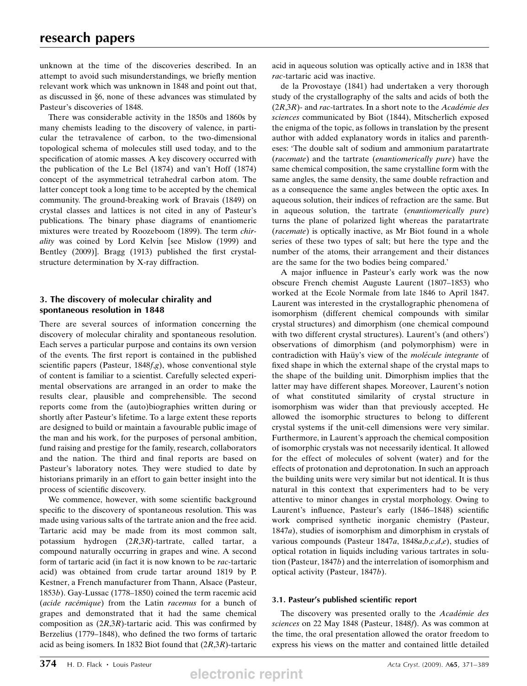unknown at the time of the discoveries described. In an attempt to avoid such misunderstandings, we briefly mention relevant work which was unknown in 1848 and point out that, as discussed in §6, none of these advances was stimulated by Pasteur's discoveries of 1848.

There was considerable activity in the 1850s and 1860s by many chemists leading to the discovery of valence, in particular the tetravalence of carbon, to the two-dimensional topological schema of molecules still used today, and to the specification of atomic masses. A key discovery occurred with the publication of the Le Bel (1874) and van't Hoff (1874) concept of the asymmetrical tetrahedral carbon atom. The latter concept took a long time to be accepted by the chemical community. The ground-breaking work of Bravais (1849) on crystal classes and lattices is not cited in any of Pasteur's publications. The binary phase diagrams of enantiomeric mixtures were treated by Roozeboom (1899). The term chirality was coined by Lord Kelvin [see Mislow (1999) and Bentley (2009)]. Bragg (1913) published the first crystalstructure determination by X-ray diffraction.

## 3. The discovery of molecular chirality and spontaneous resolution in 1848

There are several sources of information concerning the discovery of molecular chirality and spontaneous resolution. Each serves a particular purpose and contains its own version of the events. The first report is contained in the published scientific papers (Pasteur,  $1848f,g$ ), whose conventional style of content is familiar to a scientist. Carefully selected experimental observations are arranged in an order to make the results clear, plausible and comprehensible. The second reports come from the (auto)biographies written during or shortly after Pasteur's lifetime. To a large extent these reports are designed to build or maintain a favourable public image of the man and his work, for the purposes of personal ambition, fund raising and prestige for the family, research, collaborators and the nation. The third and final reports are based on Pasteur's laboratory notes. They were studied to date by historians primarily in an effort to gain better insight into the process of scientific discovery.

We commence, however, with some scientific background specific to the discovery of spontaneous resolution. This was made using various salts of the tartrate anion and the free acid. Tartaric acid may be made from its most common salt, potassium hydrogen (2R,3R)-tartrate, called tartar, a compound naturally occurring in grapes and wine. A second form of tartaric acid (in fact it is now known to be rac-tartaric acid) was obtained from crude tartar around 1819 by P. Kestner, a French manufacturer from Thann, Alsace (Pasteur, 1853b). Gay-Lussac (1778–1850) coined the term racemic acid (acide racémique) from the Latin racemus for a bunch of grapes and demonstrated that it had the same chemical composition as  $(2R,3R)$ -tartaric acid. This was confirmed by Berzelius (1779–1848), who defined the two forms of tartaric acid as being isomers. In 1832 Biot found that (2R,3R)-tartaric

acid in aqueous solution was optically active and in 1838 that rac-tartaric acid was inactive.

de la Provostaye (1841) had undertaken a very thorough study of the crystallography of the salts and acids of both the  $(2R,3R)$ - and rac-tartrates. In a short note to the Académie des sciences communicated by Biot (1844), Mitscherlich exposed the enigma of the topic, as follows in translation by the present author with added explanatory words in italics and parentheses: 'The double salt of sodium and ammonium paratartrate (racemate) and the tartrate (enantiomerically pure) have the same chemical composition, the same crystalline form with the same angles, the same density, the same double refraction and as a consequence the same angles between the optic axes. In aqueous solution, their indices of refraction are the same. But in aqueous solution, the tartrate (enantiomerically pure) turns the plane of polarized light whereas the paratartrate (racemate) is optically inactive, as Mr Biot found in a whole series of these two types of salt; but here the type and the number of the atoms, their arrangement and their distances are the same for the two bodies being compared.'

A major influence in Pasteur's early work was the now obscure French chemist Auguste Laurent (1807–1853) who worked at the Ecole Normale from late 1846 to April 1847. Laurent was interested in the crystallographic phenomena of isomorphism (different chemical compounds with similar crystal structures) and dimorphism (one chemical compound with two different crystal structures). Laurent's (and others') observations of dimorphism (and polymorphism) were in contradiction with Haüy's view of the molécule integrante of fixed shape in which the external shape of the crystal maps to the shape of the building unit. Dimorphism implies that the latter may have different shapes. Moreover, Laurent's notion of what constituted similarity of crystal structure in isomorphism was wider than that previously accepted. He allowed the isomorphic structures to belong to different crystal systems if the unit-cell dimensions were very similar. Furthermore, in Laurent's approach the chemical composition of isomorphic crystals was not necessarily identical. It allowed for the effect of molecules of solvent (water) and for the effects of protonation and deprotonation. In such an approach the building units were very similar but not identical. It is thus natural in this context that experimenters had to be very attentive to minor changes in crystal morphology. Owing to Laurent's influence, Pasteur's early (1846–1848) scientific work comprised synthetic inorganic chemistry (Pasteur, 1847a), studies of isomorphism and dimorphism in crystals of various compounds (Pasteur 1847a, 1848a, $b, c, d, e$ ), studies of optical rotation in liquids including various tartrates in solution (Pasteur, 1847b) and the interrelation of isomorphism and optical activity (Pasteur, 1847b).

## 3.1. Pasteur's published scientific report

The discovery was presented orally to the Académie des sciences on 22 May 1848 (Pasteur, 1848f). As was common at the time, the oral presentation allowed the orator freedom to express his views on the matter and contained little detailed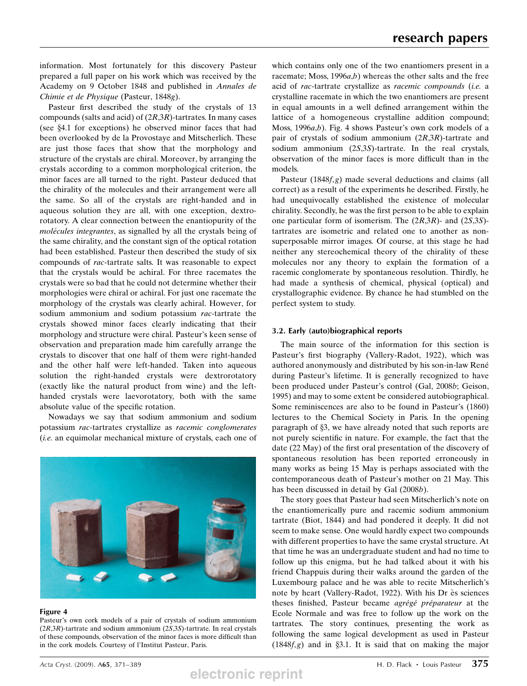information. Most fortunately for this discovery Pasteur prepared a full paper on his work which was received by the Academy on 9 October 1848 and published in Annales de Chimie et de Physique (Pasteur, 1848g).

Pasteur first described the study of the crystals of 13 compounds (salts and acid) of  $(2R,3R)$ -tartrates. In many cases (see \$4.1 for exceptions) he observed minor faces that had been overlooked by de la Provostaye and Mitscherlich. These are just those faces that show that the morphology and structure of the crystals are chiral. Moreover, by arranging the crystals according to a common morphological criterion, the minor faces are all turned to the right. Pasteur deduced that the chirality of the molecules and their arrangement were all the same. So all of the crystals are right-handed and in aqueous solution they are all, with one exception, dextrorotatory. A clear connection between the enantiopurity of the molécules integrantes, as signalled by all the crystals being of the same chirality, and the constant sign of the optical rotation had been established. Pasteur then described the study of six compounds of rac-tartrate salts. It was reasonable to expect that the crystals would be achiral. For three racemates the crystals were so bad that he could not determine whether their morphologies were chiral or achiral. For just one racemate the morphology of the crystals was clearly achiral. However, for sodium ammonium and sodium potassium rac-tartrate the crystals showed minor faces clearly indicating that their morphology and structure were chiral. Pasteur's keen sense of observation and preparation made him carefully arrange the crystals to discover that one half of them were right-handed and the other half were left-handed. Taken into aqueous solution the right-handed crystals were dextrorotatory (exactly like the natural product from wine) and the lefthanded crystals were laevorotatory, both with the same absolute value of the specific rotation.

Nowadays we say that sodium ammonium and sodium potassium rac-tartrates crystallize as racemic conglomerates (i.e. an equimolar mechanical mixture of crystals, each one of



#### Figure 4

Pasteur's own cork models of a pair of crystals of sodium ammonium  $(2R,3R)$ -tartrate and sodium ammonium  $(2S,3S)$ -tartrate. In real crystals of these compounds, observation of the minor faces is more difficult than in the cork models. Courtesy of l'Institut Pasteur, Paris.

which contains only one of the two enantiomers present in a racemate; Moss, 1996a,b) whereas the other salts and the free acid of rac-tartrate crystallize as racemic compounds (i.e. a crystalline racemate in which the two enantiomers are present in equal amounts in a well defined arrangement within the lattice of a homogeneous crystalline addition compound; Moss, 1996*a,b*). Fig. 4 shows Pasteur's own cork models of a pair of crystals of sodium ammonium (2R,3R)-tartrate and sodium ammonium (2S,3S)-tartrate. In the real crystals, observation of the minor faces is more difficult than in the models.

Pasteur  $(1848f,g)$  made several deductions and claims (all correct) as a result of the experiments he described. Firstly, he had unequivocally established the existence of molecular chirality. Secondly, he was the first person to be able to explain one particular form of isomerism. The  $(2R,3R)$ - and  $(2S,3S)$ tartrates are isometric and related one to another as nonsuperposable mirror images. Of course, at this stage he had neither any stereochemical theory of the chirality of these molecules nor any theory to explain the formation of a racemic conglomerate by spontaneous resolution. Thirdly, he had made a synthesis of chemical, physical (optical) and crystallographic evidence. By chance he had stumbled on the perfect system to study.

## 3.2. Early (auto)biographical reports

The main source of the information for this section is Pasteur's first biography (Vallery-Radot, 1922), which was authored anonymously and distributed by his son-in-law René during Pasteur's lifetime. It is generally recognized to have been produced under Pasteur's control (Gal, 2008b; Geison, 1995) and may to some extent be considered autobiographical. Some reminiscences are also to be found in Pasteur's (1860) lectures to the Chemical Society in Paris. In the opening paragraph of  $\S3$ , we have already noted that such reports are not purely scientific in nature. For example, the fact that the date (22 May) of the first oral presentation of the discovery of spontaneous resolution has been reported erroneously in many works as being 15 May is perhaps associated with the contemporaneous death of Pasteur's mother on 21 May. This has been discussed in detail by Gal (2008b).

The story goes that Pasteur had seen Mitscherlich's note on the enantiomerically pure and racemic sodium ammonium tartrate (Biot, 1844) and had pondered it deeply. It did not seem to make sense. One would hardly expect two compounds with different properties to have the same crystal structure. At that time he was an undergraduate student and had no time to follow up this enigma, but he had talked about it with his friend Chappuis during their walks around the garden of the Luxembourg palace and he was able to recite Mitscherlich's note by heart (Vallery-Radot, 1922). With his Dr ès sciences theses finished, Pasteur became agrégé préparateur at the Ecole Normale and was free to follow up the work on the tartrates. The story continues, presenting the work as following the same logical development as used in Pasteur  $(1848f,g)$  and in §3.1. It is said that on making the major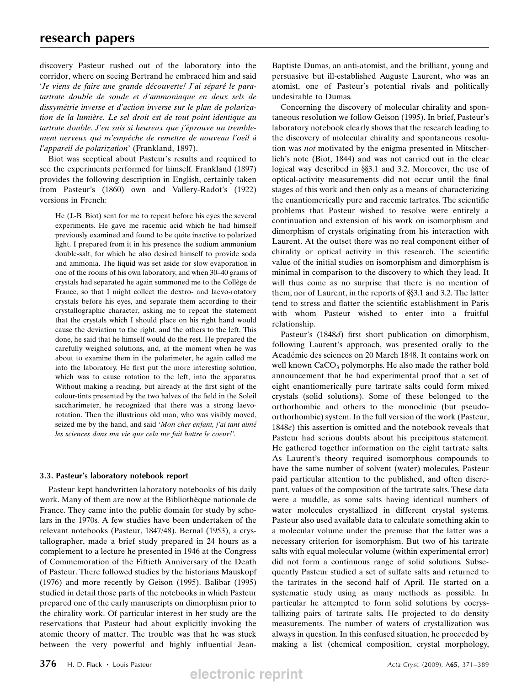discovery Pasteur rushed out of the laboratory into the corridor, where on seeing Bertrand he embraced him and said 'Je viens de faire une grande découverte! J'ai séparé le paratartrate double de soude et d'ammoniaque en deux sels de dissymétrie inverse et d'action inverse sur le plan de polarization de la lumière. Le sel droit est de tout point identique au tartrate double. J'en suis si heureux que j'éprouve un tremblement nerveux qui m'empêche de remettre de nouveau l'oeil à l'appareil de polarization' (Frankland, 1897).

Biot was sceptical about Pasteur's results and required to see the experiments performed for himself. Frankland (1897) provides the following description in English, certainly taken from Pasteur's (1860) own and Vallery-Radot's (1922) versions in French:

He (J.-B. Biot) sent for me to repeat before his eyes the several experiments. He gave me racemic acid which he had himself previously examined and found to be quite inactive to polarized light. I prepared from it in his presence the sodium ammonium double-salt, for which he also desired himself to provide soda and ammonia. The liquid was set aside for slow evaporation in one of the rooms of his own laboratory, and when 30–40 grams of crystals had separated he again summoned me to the Colle`ge de France, so that I might collect the dextro- and laevo-rotatory crystals before his eyes, and separate them according to their crystallographic character, asking me to repeat the statement that the crystals which I should place on his right hand would cause the deviation to the right, and the others to the left. This done, he said that he himself would do the rest. He prepared the carefully weighed solutions, and, at the moment when he was about to examine them in the polarimeter, he again called me into the laboratory. He first put the more interesting solution, which was to cause rotation to the left, into the apparatus. Without making a reading, but already at the first sight of the colour-tints presented by the two halves of the field in the Soleil saccharimeter, he recognized that there was a strong laevorotation. Then the illustrious old man, who was visibly moved, seized me by the hand, and said 'Mon cher enfant, j'ai tant aimé les sciences dans ma vie que cela me fait battre le coeur!'.

## 3.3. Pasteur's laboratory notebook report

Pasteur kept handwritten laboratory notebooks of his daily work. Many of them are now at the Bibliothèque nationale de France. They came into the public domain for study by scholars in the 1970s. A few studies have been undertaken of the relevant notebooks (Pasteur, 1847/48). Bernal (1953), a crystallographer, made a brief study prepared in 24 hours as a complement to a lecture he presented in 1946 at the Congress of Commemoration of the Fiftieth Anniversary of the Death of Pasteur. There followed studies by the historians Mauskopf (1976) and more recently by Geison (1995). Balibar (1995) studied in detail those parts of the notebooks in which Pasteur prepared one of the early manuscripts on dimorphism prior to the chirality work. Of particular interest in her study are the reservations that Pasteur had about explicitly invoking the atomic theory of matter. The trouble was that he was stuck between the very powerful and highly influential JeanBaptiste Dumas, an anti-atomist, and the brilliant, young and persuasive but ill-established Auguste Laurent, who was an atomist, one of Pasteur's potential rivals and politically undesirable to Dumas.

Concerning the discovery of molecular chirality and spontaneous resolution we follow Geison (1995). In brief, Pasteur's laboratory notebook clearly shows that the research leading to the discovery of molecular chirality and spontaneous resolution was not motivated by the enigma presented in Mitscherlich's note (Biot, 1844) and was not carried out in the clear logical way described in  $\S$ \$3.1 and 3.2. Moreover, the use of optical-activity measurements did not occur until the final stages of this work and then only as a means of characterizing the enantiomerically pure and racemic tartrates. The scientific problems that Pasteur wished to resolve were entirely a continuation and extension of his work on isomorphism and dimorphism of crystals originating from his interaction with Laurent. At the outset there was no real component either of chirality or optical activity in this research. The scientific value of the initial studies on isomorphism and dimorphism is minimal in comparison to the discovery to which they lead. It will thus come as no surprise that there is no mention of them, nor of Laurent, in the reports of  $\S$ \$3.1 and 3.2. The latter tend to stress and flatter the scientific establishment in Paris with whom Pasteur wished to enter into a fruitful relationship.

Pasteur's (1848d) first short publication on dimorphism, following Laurent's approach, was presented orally to the Académie des sciences on 20 March 1848. It contains work on well known CaCO<sub>3</sub> polymorphs. He also made the rather bold announcement that he had experimental proof that a set of eight enantiomerically pure tartrate salts could form mixed crystals (solid solutions). Some of these belonged to the orthorhombic and others to the monoclinic (but pseudoorthorhombic) system. In the full version of the work (Pasteur, 1848e) this assertion is omitted and the notebook reveals that Pasteur had serious doubts about his precipitous statement. He gathered together information on the eight tartrate salts. As Laurent's theory required isomorphous compounds to have the same number of solvent (water) molecules, Pasteur paid particular attention to the published, and often discrepant, values of the composition of the tartrate salts. These data were a muddle, as some salts having identical numbers of water molecules crystallized in different crystal systems. Pasteur also used available data to calculate something akin to a molecular volume under the premise that the latter was a necessary criterion for isomorphism. But two of his tartrate salts with equal molecular volume (within experimental error) did not form a continuous range of solid solutions. Subsequently Pasteur studied a set of sulfate salts and returned to the tartrates in the second half of April. He started on a systematic study using as many methods as possible. In particular he attempted to form solid solutions by cocrystallizing pairs of tartrate salts. He projected to do density measurements. The number of waters of crystallization was always in question. In this confused situation, he proceeded by making a list (chemical composition, crystal morphology,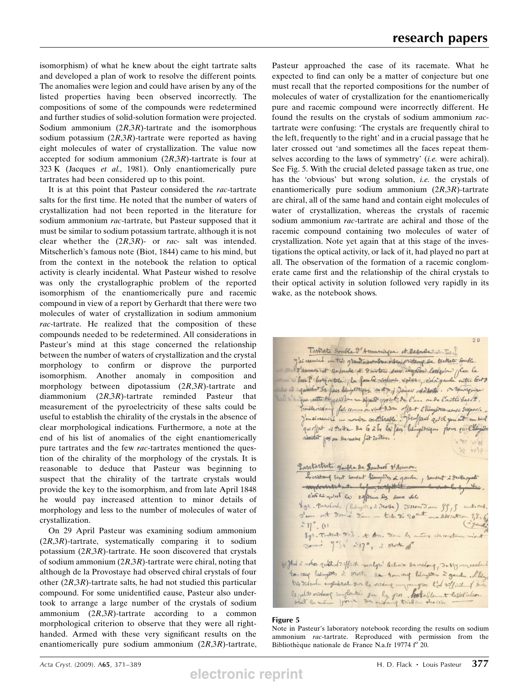$20$ 

isomorphism) of what he knew about the eight tartrate salts and developed a plan of work to resolve the different points. The anomalies were legion and could have arisen by any of the listed properties having been observed incorrectly. The compositions of some of the compounds were redetermined and further studies of solid-solution formation were projected. Sodium ammonium (2R,3R)-tartrate and the isomorphous sodium potassium  $(2R,3R)$ -tartrate were reported as having eight molecules of water of crystallization. The value now accepted for sodium ammonium  $(2R,3R)$ -tartrate is four at 323 K (Jacques et al., 1981). Only enantiomerically pure tartrates had been considered up to this point.

It is at this point that Pasteur considered the rac-tartrate salts for the first time. He noted that the number of waters of crystallization had not been reported in the literature for sodium ammonium rac-tartrate, but Pasteur supposed that it must be similar to sodium potassium tartrate, although it is not clear whether the  $(2R,3R)$ - or rac- salt was intended. Mitscherlich's famous note (Biot, 1844) came to his mind, but from the context in the notebook the relation to optical activity is clearly incidental. What Pasteur wished to resolve was only the crystallographic problem of the reported isomorphism of the enantiomerically pure and racemic compound in view of a report by Gerhardt that there were two molecules of water of crystallization in sodium ammonium rac-tartrate. He realized that the composition of these compounds needed to be redetermined. All considerations in Pasteur's mind at this stage concerned the relationship between the number of waters of crystallization and the crystal morphology to confirm or disprove the purported isomorphism. Another anomaly in composition and morphology between dipotassium (2R,3R)-tartrate and diammonium (2R,3R)-tartrate reminded Pasteur that measurement of the pyroelectricity of these salts could be useful to establish the chirality of the crystals in the absence of clear morphological indications. Furthermore, a note at the end of his list of anomalies of the eight enantiomerically pure tartrates and the few rac-tartrates mentioned the question of the chirality of the morphology of the crystals. It is reasonable to deduce that Pasteur was beginning to suspect that the chirality of the tartrate crystals would provide the key to the isomorphism, and from late April 1848 he would pay increased attention to minor details of morphology and less to the number of molecules of water of crystallization.

On 29 April Pasteur was examining sodium ammonium  $(2R,3R)$ -tartrate, systematically comparing it to sodium potassium  $(2R,3R)$ -tartrate. He soon discovered that crystals of sodium ammonium  $(2R,3R)$ -tartrate were chiral, noting that although de la Provostaye had observed chiral crystals of four other  $(2R,3R)$ -tartrate salts, he had not studied this particular compound. For some unidentified cause, Pasteur also undertook to arrange a large number of the crystals of sodium ammonium  $(2R,3R)$ -tartrate according to a common morphological criterion to observe that they were all righthanded. Armed with these very significant results on the enantiomerically pure sodium ammonium (2R,3R)-tartrate,

Pasteur approached the case of its racemate. What he expected to find can only be a matter of conjecture but one must recall that the reported compositions for the number of molecules of water of crystallization for the enantiomerically pure and racemic compound were incorrectly different. He found the results on the crystals of sodium ammonium ractartrate were confusing: 'The crystals are frequently chiral to the left, frequently to the right' and in a crucial passage that he later crossed out 'and sometimes all the faces repeat themselves according to the laws of symmetry' (i.e. were achiral). See Fig. 5. With the crucial deleted passage taken as true, one has the 'obvious' but wrong solution, *i.e.* the crystals of enantiomerically pure sodium ammonium (2R,3R)-tartrate are chiral, all of the same hand and contain eight molecules of water of crystallization, whereas the crystals of racemic sodium ammonium *rac*-tartrate are achiral and those of the racemic compound containing two molecules of water of crystallization. Note yet again that at this stage of the investigations the optical activity, or lack of it, had played no part at all. The observation of the formation of a racemic conglomerate came first and the relationship of the chiral crystals to their optical activity in solution followed very rapidly in its wake, as the notebook shows.

Tartrate Souble I Annoniaque et desouded states y'ai examine un très grand prombres rites cristains de tartrate double and a questiont les faces bényessigns au étre ; Jamais à Dessite. ou ramorquira will in you cette Di position ne dipend growth de l'ane on de l'autre base 2. boubles orthomp feb, comme on vint didne offert eliminations i disposite. J'en sienamint un nombre constitutionable. Il sufferait qu'il you est un sail qui el pat es traite du résult contestance. Proprier qu'il geneu du moins n'existat pas ou Dunions fut doctors. 38 30' 38" 0'  $320 - 6892$ 

Paratartrate gouble de Soudeet d'Annuor. Is cristaing sout sousant himmy was a gauden, souscut in Drike get superventitute before sight to come c'est la qu'est la sofference des seux dels 8gr. Parcharde (héngions à droite) Dissous Jans PP, 5 cents aus 8gr. Paradoshe (héngiste) ditorte) dittourd aus SSIS<br>S'eau out donné dans un tribe de 20<sup>01</sup> une détricte 8gr. Tasket 5-5. At Auc. Sans les muins circonstances mont Source 9°S4 à 17°, à stort of

(1) Hed à roter qu'il et d'éfficile mealgré lechoix des ordoug, designer exchange to can hémyers à sroit. De tous ang lémyers à gandre. L'hén, trés début engénèral sur les vertaux un peupron l'est déflicit d'envis.<br>le jelit eristant implanté sur le gros. Robablement le distinction.

## Figure 5

Note in Pasteur's laboratory notebook recording the results on sodium ammonium rac-tartrate. Reproduced with permission from the Bibliothèque nationale de France N.a.fr 19774 f<sup>o</sup> 20.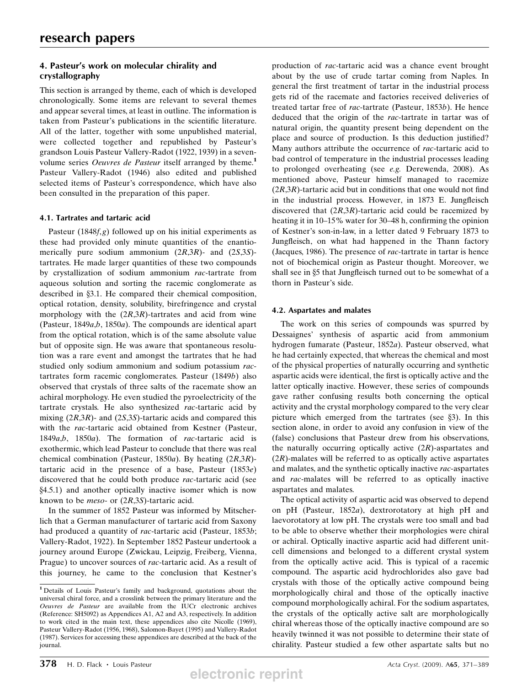## 4. Pasteur's work on molecular chirality and crystallography

This section is arranged by theme, each of which is developed chronologically. Some items are relevant to several themes and appear several times, at least in outline. The information is taken from Pasteur's publications in the scientific literature. All of the latter, together with some unpublished material, were collected together and republished by Pasteur's grandson Louis Pasteur Vallery-Radot (1922, 1939) in a sevenvolume series *Oeuvres de Pasteur* itself arranged by theme.<sup>1</sup> Pasteur Vallery-Radot (1946) also edited and published selected items of Pasteur's correspondence, which have also been consulted in the preparation of this paper.

## 4.1. Tartrates and tartaric acid

Pasteur  $(1848f,g)$  followed up on his initial experiments as these had provided only minute quantities of the enantiomerically pure sodium ammonium  $(2R,3R)$ - and  $(2S,3S)$ tartrates. He made larger quantities of these two compounds by crystallization of sodium ammonium rac-tartrate from aqueous solution and sorting the racemic conglomerate as described in §3.1. He compared their chemical composition, optical rotation, density, solubility, birefringence and crystal morphology with the  $(2R,3R)$ -tartrates and acid from wine (Pasteur, 1849a,b, 1850a). The compounds are identical apart from the optical rotation, which is of the same absolute value but of opposite sign. He was aware that spontaneous resolution was a rare event and amongst the tartrates that he had studied only sodium ammonium and sodium potassium ractartrates form racemic conglomerates. Pasteur (1849b) also observed that crystals of three salts of the racemate show an achiral morphology. He even studied the pyroelectricity of the tartrate crystals. He also synthesized rac-tartaric acid by mixing  $(2R,3R)$ - and  $(2S,3S)$ -tartaric acids and compared this with the rac-tartaric acid obtained from Kestner (Pasteur,  $1849a,b$ ,  $1850a$ ). The formation of rac-tartaric acid is exothermic, which lead Pasteur to conclude that there was real chemical combination (Pasteur, 1850a). By heating (2R,3R) tartaric acid in the presence of a base, Pasteur  $(1853e)$ discovered that he could both produce rac-tartaric acid (see  $§4.5.1)$  and another optically inactive isomer which is now known to be meso- or (2R,3S)-tartaric acid.

In the summer of 1852 Pasteur was informed by Mitscherlich that a German manufacturer of tartaric acid from Saxony had produced a quantity of rac-tartaric acid (Pasteur, 1853b; Vallery-Radot, 1922). In September 1852 Pasteur undertook a journey around Europe (Zwickau, Leipzig, Freiberg, Vienna, Prague) to uncover sources of rac-tartaric acid. As a result of this journey, he came to the conclusion that Kestner's

production of rac-tartaric acid was a chance event brought about by the use of crude tartar coming from Naples. In general the first treatment of tartar in the industrial process gets rid of the racemate and factories received deliveries of treated tartar free of rac-tartrate (Pasteur, 1853b). He hence deduced that the origin of the rac-tartrate in tartar was of natural origin, the quantity present being dependent on the place and source of production. Is this deduction justified? Many authors attribute the occurrence of rac-tartaric acid to bad control of temperature in the industrial processes leading to prolonged overheating (see e.g. Derewenda, 2008). As mentioned above, Pasteur himself managed to racemize  $(2R,3R)$ -tartaric acid but in conditions that one would not find in the industrial process. However, in 1873 E. Jungfleisch discovered that  $(2R,3R)$ -tartaric acid could be racemized by heating it in 10–15% water for 30–48 h, confirming the opinion of Kestner's son-in-law, in a letter dated 9 February 1873 to Jungfleisch, on what had happened in the Thann factory (Jacques, 1986). The presence of rac-tartrate in tartar is hence not of biochemical origin as Pasteur thought. Moreover, we shall see in §5 that Jungfleisch turned out to be somewhat of a thorn in Pasteur's side.

## 4.2. Aspartates and malates

The work on this series of compounds was spurred by Dessaignes' synthesis of aspartic acid from ammonium hydrogen fumarate (Pasteur, 1852a). Pasteur observed, what he had certainly expected, that whereas the chemical and most of the physical properties of naturally occurring and synthetic aspartic acids were identical, the first is optically active and the latter optically inactive. However, these series of compounds gave rather confusing results both concerning the optical activity and the crystal morphology compared to the very clear picture which emerged from the tartrates (see  $\S$ 3). In this section alone, in order to avoid any confusion in view of the (false) conclusions that Pasteur drew from his observations, the naturally occurring optically active  $(2R)$ -aspartates and  $(2R)$ -malates will be referred to as optically active aspartates and malates, and the synthetic optically inactive rac-aspartates and rac-malates will be referred to as optically inactive aspartates and malates.

The optical activity of aspartic acid was observed to depend on pH (Pasteur, 1852a), dextrorotatory at high pH and laevorotatory at low pH. The crystals were too small and bad to be able to observe whether their morphologies were chiral or achiral. Optically inactive aspartic acid had different unitcell dimensions and belonged to a different crystal system from the optically active acid. This is typical of a racemic compound. The aspartic acid hydrochlorides also gave bad crystals with those of the optically active compound being morphologically chiral and those of the optically inactive compound morphologically achiral. For the sodium aspartates, the crystals of the optically active salt are morphologically chiral whereas those of the optically inactive compound are so heavily twinned it was not possible to determine their state of chirality. Pasteur studied a few other aspartate salts but no

<sup>1</sup> Details of Louis Pasteur's family and background, quotations about the universal chiral force, and a crosslink between the primary literature and the Oeuvres de Pasteur are available from the IUCr electronic archives (Reference: SH5092) as Appendices A1, A2 and A3, respectively. In addition to work cited in the main text, these appendices also cite Nicolle (1969), Pasteur Vallery-Radot (1956, 1968), Salomon-Bayet (1995) and Vallery-Radot (1987). Services for accessing these appendices are described at the back of the journal.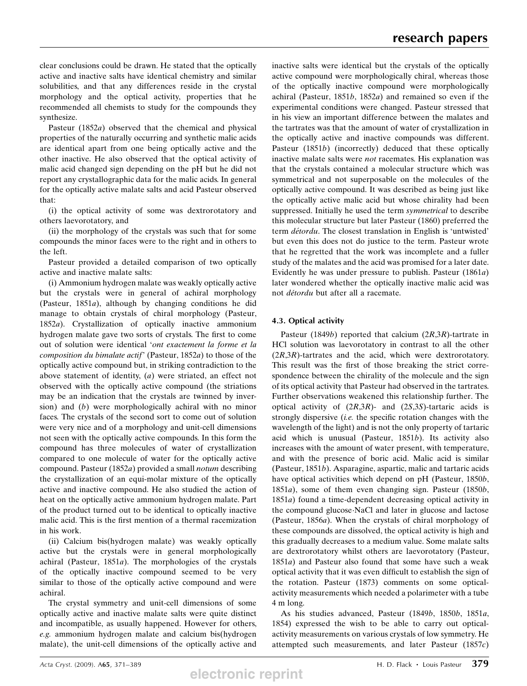clear conclusions could be drawn. He stated that the optically active and inactive salts have identical chemistry and similar solubilities, and that any differences reside in the crystal morphology and the optical activity, properties that he recommended all chemists to study for the compounds they synthesize.

Pasteur (1852a) observed that the chemical and physical properties of the naturally occurring and synthetic malic acids are identical apart from one being optically active and the other inactive. He also observed that the optical activity of malic acid changed sign depending on the pH but he did not report any crystallographic data for the malic acids. In general for the optically active malate salts and acid Pasteur observed that:

(i) the optical activity of some was dextrorotatory and others laevorotatory, and

(ii) the morphology of the crystals was such that for some compounds the minor faces were to the right and in others to the left.

Pasteur provided a detailed comparison of two optically active and inactive malate salts:

(i) Ammonium hydrogen malate was weakly optically active but the crystals were in general of achiral morphology (Pasteur, 1851a), although by changing conditions he did manage to obtain crystals of chiral morphology (Pasteur, 1852a). Crystallization of optically inactive ammonium hydrogen malate gave two sorts of crystals. The first to come out of solution were identical 'ont exactement la forme et la composition du bimalate actif' (Pasteur, 1852a) to those of the optically active compound but, in striking contradiction to the above statement of identity, (a) were striated, an effect not observed with the optically active compound (the striations may be an indication that the crystals are twinned by inversion) and (b) were morphologically achiral with no minor faces. The crystals of the second sort to come out of solution were very nice and of a morphology and unit-cell dimensions not seen with the optically active compounds. In this form the compound has three molecules of water of crystallization compared to one molecule of water for the optically active compound. Pasteur (1852a) provided a small notum describing the crystallization of an equi-molar mixture of the optically active and inactive compound. He also studied the action of heat on the optically active ammonium hydrogen malate. Part of the product turned out to be identical to optically inactive malic acid. This is the first mention of a thermal racemization in his work.

(ii) Calcium bis(hydrogen malate) was weakly optically active but the crystals were in general morphologically achiral (Pasteur, 1851a). The morphologies of the crystals of the optically inactive compound seemed to be very similar to those of the optically active compound and were achiral.

The crystal symmetry and unit-cell dimensions of some optically active and inactive malate salts were quite distinct and incompatible, as usually happened. However for others, e.g. ammonium hydrogen malate and calcium bis(hydrogen malate), the unit-cell dimensions of the optically active and

inactive salts were identical but the crystals of the optically active compound were morphologically chiral, whereas those of the optically inactive compound were morphologically achiral (Pasteur, 1851b, 1852a) and remained so even if the experimental conditions were changed. Pasteur stressed that in his view an important difference between the malates and the tartrates was that the amount of water of crystallization in the optically active and inactive compounds was different. Pasteur (1851b) (incorrectly) deduced that these optically inactive malate salts were not racemates. His explanation was that the crystals contained a molecular structure which was symmetrical and not superposable on the molecules of the optically active compound. It was described as being just like the optically active malic acid but whose chirality had been suppressed. Initially he used the term *symmetrical* to describe this molecular structure but later Pasteur (1860) preferred the term *détordu*. The closest translation in English is 'untwisted' but even this does not do justice to the term. Pasteur wrote that he regretted that the work was incomplete and a fuller study of the malates and the acid was promised for a later date. Evidently he was under pressure to publish. Pasteur (1861a) later wondered whether the optically inactive malic acid was not *détordu* but after all a racemate.

## 4.3. Optical activity

Pasteur (1849b) reported that calcium (2R,3R)-tartrate in HCl solution was laevorotatory in contrast to all the other  $(2R,3R)$ -tartrates and the acid, which were dextrorotatory. This result was the first of those breaking the strict correspondence between the chirality of the molecule and the sign of its optical activity that Pasteur had observed in the tartrates. Further observations weakened this relationship further. The optical activity of  $(2R,3R)$ - and  $(2S,3S)$ -tartaric acids is strongly dispersive *(i.e.* the specific rotation changes with the wavelength of the light) and is not the only property of tartaric acid which is unusual (Pasteur, 1851b). Its activity also increases with the amount of water present, with temperature, and with the presence of boric acid. Malic acid is similar (Pasteur, 1851b). Asparagine, aspartic, malic and tartaric acids have optical activities which depend on pH (Pasteur, 1850b, 1851a), some of them even changing sign. Pasteur (1850b, 1851a) found a time-dependent decreasing optical activity in the compound glucose NaCl and later in glucose and lactose (Pasteur, 1856a). When the crystals of chiral morphology of these compounds are dissolved, the optical activity is high and this gradually decreases to a medium value. Some malate salts are dextrorotatory whilst others are laevorotatory (Pasteur, 1851a) and Pasteur also found that some have such a weak optical activity that it was even difficult to establish the sign of the rotation. Pasteur (1873) comments on some opticalactivity measurements which needed a polarimeter with a tube 4 m long.

As his studies advanced, Pasteur (1849b, 1850b, 1851a, 1854) expressed the wish to be able to carry out opticalactivity measurements on various crystals of low symmetry. He attempted such measurements, and later Pasteur (1857c)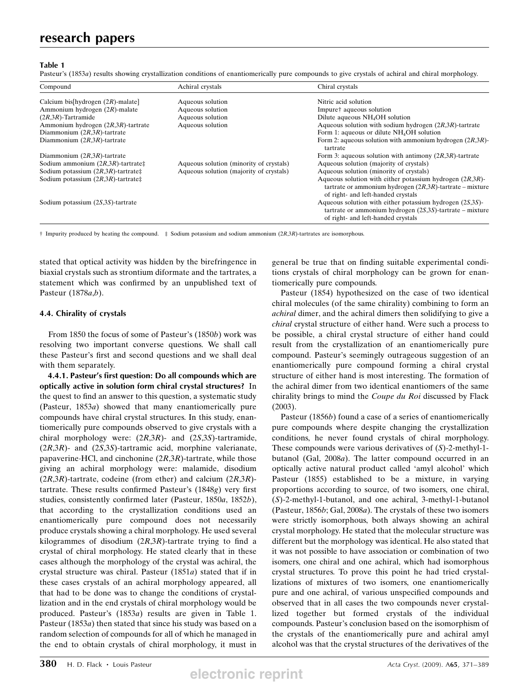#### Table 1

Pasteur's (1853a) results showing crystallization conditions of enantiomerically pure compounds to give crystals of achiral and chiral morphology.

| Compound                              | Achiral crystals                        | Chiral crystals                                                                                                                                                  |  |
|---------------------------------------|-----------------------------------------|------------------------------------------------------------------------------------------------------------------------------------------------------------------|--|
| Calcium bis[hydrogen $(2R)$ -malate]  | Aqueous solution                        | Nitric acid solution                                                                                                                                             |  |
| Ammonium hydrogen $(2R)$ -malate      | Aqueous solution                        | Impure† aqueous solution                                                                                                                                         |  |
| $(2R,3R)$ -Tartramide                 | Aqueous solution                        | Dilute aqueous $NH4OH$ solution                                                                                                                                  |  |
| Ammonium hydrogen $(2R,3R)$ -tartrate | Aqueous solution                        | Aqueous solution with sodium hydrogen $(2R,3R)$ -tartrate                                                                                                        |  |
| Diammonium $(2R,3R)$ -tartrate        |                                         | Form 1: aqueous or dilute $NH4OH$ solution                                                                                                                       |  |
| Diammonium $(2R,3R)$ -tartrate        |                                         | Form 2: aqueous solution with ammonium hydrogen $(2R,3R)$ -<br>tartrate                                                                                          |  |
| Diammonium $(2R,3R)$ -tartrate        |                                         | Form 3: aqueous solution with antimony $(2R,3R)$ -tartrate                                                                                                       |  |
| Sodium ammonium $(2R,3R)$ -tartrate‡  | Aqueous solution (minority of crystals) | Aqueous solution (majority of crystals)                                                                                                                          |  |
| Sodium potassium $(2R,3R)$ -tartrate‡ | Aqueous solution (majority of crystals) | Aqueous solution (minority of crystals)                                                                                                                          |  |
| Sodium potassium $(2R,3R)$ -tartrate‡ |                                         | Aqueous solution with either potassium hydrogen $(2R,3R)$ -<br>tartrate or ammonium hydrogen $(2R,3R)$ -tartrate – mixture<br>of right- and left-handed crystals |  |
| Sodium potassium $(2S,3S)$ -tartrate  |                                         | Aqueous solution with either potassium hydrogen $(2S,3S)$ -<br>tartrate or ammonium hydrogen $(2S,3S)$ -tartrate – mixture<br>of right- and left-handed crystals |  |

† Impurity produced by heating the compound. ‡ Sodium potassium and sodium ammonium (2R,3R)-tartrates are isomorphous.

stated that optical activity was hidden by the birefringence in biaxial crystals such as strontium diformate and the tartrates, a statement which was confirmed by an unpublished text of Pasteur (1878a,b).

## 4.4. Chirality of crystals

From 1850 the focus of some of Pasteur's (1850b) work was resolving two important converse questions. We shall call these Pasteur's first and second questions and we shall deal with them separately.

4.4.1. Pasteur's first question: Do all compounds which are optically active in solution form chiral crystal structures?. In the quest to find an answer to this question, a systematic study (Pasteur, 1853a) showed that many enantiomerically pure compounds have chiral crystal structures. In this study, enantiomerically pure compounds observed to give crystals with a chiral morphology were:  $(2R,3R)$ - and  $(2S,3S)$ -tartramide,  $(2R,3R)$ - and  $(2S,3S)$ -tartramic acid, morphine valerianate, papaverine HCl, and cinchonine  $(2R,3R)$ -tartrate, while those giving an achiral morphology were: malamide, disodium  $(2R,3R)$ -tartrate, codeine (from ether) and calcium  $(2R,3R)$ tartrate. These results confirmed Pasteur's (1848g) very first studies, consistently confirmed later (Pasteur, 1850a, 1852b), that according to the crystallization conditions used an enantiomerically pure compound does not necessarily produce crystals showing a chiral morphology. He used several kilogrammes of disodium  $(2R,3R)$ -tartrate trying to find a crystal of chiral morphology. He stated clearly that in these cases although the morphology of the crystal was achiral, the crystal structure was chiral. Pasteur  $(1851a)$  stated that if in these cases crystals of an achiral morphology appeared, all that had to be done was to change the conditions of crystallization and in the end crystals of chiral morphology would be produced. Pasteur's (1853a) results are given in Table 1. Pasteur (1853a) then stated that since his study was based on a random selection of compounds for all of which he managed in the end to obtain crystals of chiral morphology, it must in

general be true that on finding suitable experimental conditions crystals of chiral morphology can be grown for enantiomerically pure compounds.

Pasteur (1854) hypothesized on the case of two identical chiral molecules (of the same chirality) combining to form an achiral dimer, and the achiral dimers then solidifying to give a chiral crystal structure of either hand. Were such a process to be possible, a chiral crystal structure of either hand could result from the crystallization of an enantiomerically pure compound. Pasteur's seemingly outrageous suggestion of an enantiomerically pure compound forming a chiral crystal structure of either hand is most interesting. The formation of the achiral dimer from two identical enantiomers of the same chirality brings to mind the *Coupe du Roi* discussed by Flack (2003).

Pasteur (1856b) found a case of a series of enantiomerically pure compounds where despite changing the crystallization conditions, he never found crystals of chiral morphology. These compounds were various derivatives of  $(S)$ -2-methyl-1butanol (Gal, 2008a). The latter compound occurred in an optically active natural product called 'amyl alcohol' which Pasteur (1855) established to be a mixture, in varying proportions according to source, of two isomers, one chiral, (S)-2-methyl-1-butanol, and one achiral, 3-methyl-1-butanol (Pasteur, 1856b; Gal, 2008a). The crystals of these two isomers were strictly isomorphous, both always showing an achiral crystal morphology. He stated that the molecular structure was different but the morphology was identical. He also stated that it was not possible to have association or combination of two isomers, one chiral and one achiral, which had isomorphous crystal structures. To prove this point he had tried crystallizations of mixtures of two isomers, one enantiomerically pure and one achiral, of various unspecified compounds and observed that in all cases the two compounds never crystallized together but formed crystals of the individual compounds. Pasteur's conclusion based on the isomorphism of the crystals of the enantiomerically pure and achiral amyl alcohol was that the crystal structures of the derivatives of the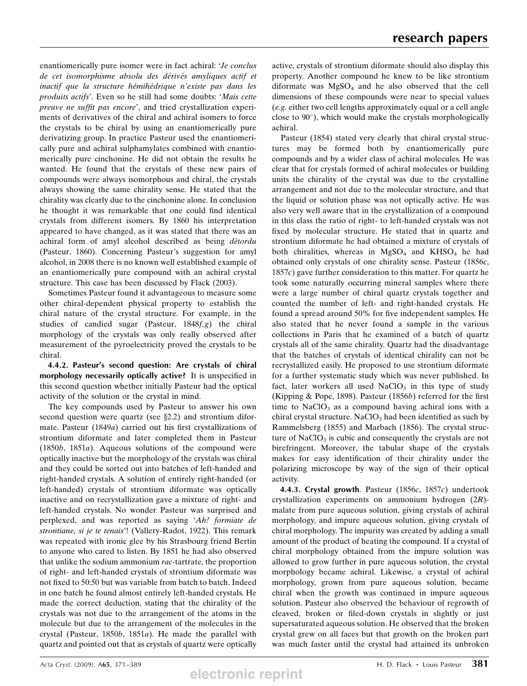enantiomerically pure isomer were in fact achiral: 'Je conclus de cet isomorphisme absolu des dérivés amyliques actif et inactif que la structure hémihédrique n'existe pas dans les produits actifs'. Even so he still had some doubts: 'Mais cette preuve ne suffit pas encore', and tried crystallization experiments of derivatives of the chiral and achiral isomers to force the crystals to be chiral by using an enantiomerically pure derivatizing group. In practice Pasteur used the enantiomerically pure and achiral sulphamylates combined with enantiomerically pure cinchonine. He did not obtain the results he wanted. He found that the crystals of these new pairs of compounds were always isomorphous and chiral, the crystals always showing the same chirality sense. He stated that the chirality was clearly due to the cinchonine alone. In conclusion he thought it was remarkable that one could find identical crystals from different isomers. By 1860 his interpretation appeared to have changed, as it was stated that there was an achiral form of amyl alcohol described as being *détordu* (Pasteur, 1860). Concerning Pasteur's suggestion for amyl alcohol, in 2008 there is no known well established example of an enantiomerically pure compound with an achiral crystal structure. This case has been discussed by Flack (2003).

Sometimes Pasteur found it advantageous to measure some other chiral-dependent physical property to establish the chiral nature of the crystal structure. For example, in the studies of candied sugar (Pasteur, 1848f,g) the chiral morphology of the crystals was only really observed after measurement of the pyroelectricity proved the crystals to be chiral.

4.4.2. Pasteur's second question: Are crystals of chiral morphology necessarily optically active? It is unspecified in this second question whether initially Pasteur had the optical activity of the solution or the crystal in mind.

The key compounds used by Pasteur to answer his own second question were quartz (see  $\S 2.2$ ) and strontium diformate. Pasteur (1849a) carried out his first crystallizations of strontium diformate and later completed them in Pasteur (1850b, 1851a). Aqueous solutions of the compound were optically inactive but the morphology of the crystals was chiral and they could be sorted out into batches of left-handed and right-handed crystals. A solution of entirely right-handed (or left-handed) crystals of strontium diformate was optically inactive and on recrystallization gave a mixture of right- and left-handed crystals. No wonder Pasteur was surprised and perplexed, and was reported as saying 'Ah! formiate de strontiane, si je te tenais'! (Vallery-Radot, 1922). This remark was repeated with ironic glee by his Strasbourg friend Bertin to anyone who cared to listen. By 1851 he had also observed that unlike the sodium ammonium rac-tartrate, the proportion of right- and left-handed crystals of strontium diformate was not fixed to 50:50 but was variable from batch to batch. Indeed in one batch he found almost entirely left-handed crystals. He made the correct deduction, stating that the chirality of the crystals was not due to the arrangement of the atoms in the molecule but due to the arrangement of the molecules in the crystal (Pasteur, 1850b, 1851a). He made the parallel with quartz and pointed out that as crystals of quartz were optically

active, crystals of strontium diformate should also display this property. Another compound he knew to be like strontium diformate was  $MgSO<sub>4</sub>$  and he also observed that the cell dimensions of these compounds were near to special values (e.g. either two cell lengths approximately equal or a cell angle close to  $90^{\circ}$ ), which would make the crystals morphologically achiral.

Pasteur (1854) stated very clearly that chiral crystal structures may be formed both by enantiomerically pure compounds and by a wider class of achiral molecules. He was clear that for crystals formed of achiral molecules or building units the chirality of the crystal was due to the crystalline arrangement and not due to the molecular structure, and that the liquid or solution phase was not optically active. He was also very well aware that in the crystallization of a compound in this class the ratio of right- to left-handed crystals was not fixed by molecular structure. He stated that in quartz and strontium diformate he had obtained a mixture of crystals of both chiralities, whereas in  $MgSO_4$  and  $KHSO_4$  he had obtained only crystals of one chirality sense. Pasteur (1856c, 1857c) gave further consideration to this matter. For quartz he took some naturally occurring mineral samples where there were a large number of chiral quartz crystals together and counted the number of left- and right-handed crystals. He found a spread around 50% for five independent samples. He also stated that he never found a sample in the various collections in Paris that he examined of a batch of quartz crystals all of the same chirality. Quartz had the disadvantage that the batches of crystals of identical chirality can not be recrystallized easily. He proposed to use strontium diformate for a further systematic study which was never published. In fact, later workers all used NaClO<sub>3</sub> in this type of study (Kipping & Pope, 1898). Pasteur (1856b) referred for the first time to NaClO<sub>3</sub> as a compound having achiral ions with a chiral crystal structure. NaCl $O_3$  had been identified as such by Rammelsberg (1855) and Marbach (1856). The crystal structure of  $NaClO<sub>3</sub>$  is cubic and consequently the crystals are not birefringent. Moreover, the tabular shape of the crystals makes for easy identification of their chirality under the polarizing microscope by way of the sign of their optical activity.

4.4.3. Crystal growth. Pasteur (1856c, 1857c) undertook crystallization experiments on ammonium hydrogen (2R) malate from pure aqueous solution, giving crystals of achiral morphology, and impure aqueous solution, giving crystals of chiral morphology. The impurity was created by adding a small amount of the product of heating the compound. If a crystal of chiral morphology obtained from the impure solution was allowed to grow further in pure aqueous solution, the crystal morphology became achiral. Likewise, a crystal of achiral morphology, grown from pure aqueous solution, became chiral when the growth was continued in impure aqueous solution. Pasteur also observed the behaviour of regrowth of cleaved, broken or filed-down crystals in slightly or just supersaturated aqueous solution. He observed that the broken crystal grew on all faces but that growth on the broken part was much faster until the crystal had attained its unbroken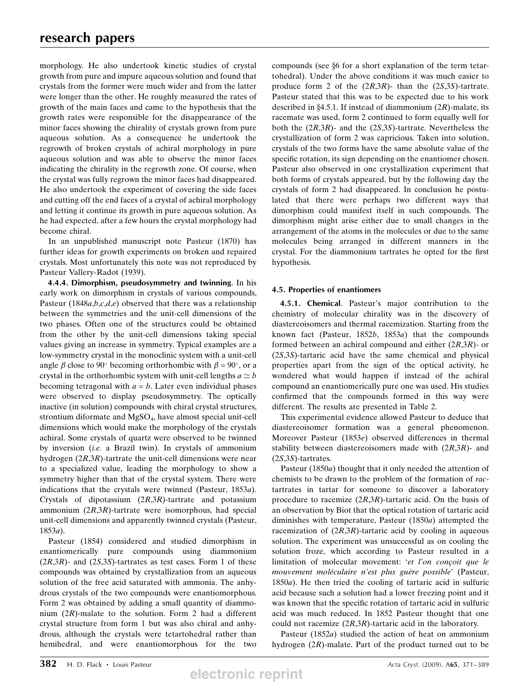morphology. He also undertook kinetic studies of crystal growth from pure and impure aqueous solution and found that crystals from the former were much wider and from the latter were longer than the other. He roughly measured the rates of growth of the main faces and came to the hypothesis that the growth rates were responsible for the disappearance of the minor faces showing the chirality of crystals grown from pure aqueous solution. As a consequence he undertook the regrowth of broken crystals of achiral morphology in pure aqueous solution and was able to observe the minor faces indicating the chirality in the regrowth zone. Of course, when the crystal was fully regrown the minor faces had disappeared. He also undertook the experiment of covering the side faces and cutting off the end faces of a crystal of achiral morphology and letting it continue its growth in pure aqueous solution. As he had expected, after a few hours the crystal morphology had become chiral.

In an unpublished manuscript note Pasteur (1870) has further ideas for growth experiments on broken and repaired crystals. Most unfortunately this note was not reproduced by Pasteur Vallery-Radot (1939).

4.4.4. Dimorphism, pseudosymmetry and twinning. In his early work on dimorphism in crystals of various compounds, Pasteur (1848a,b,c,d,e) observed that there was a relationship between the symmetries and the unit-cell dimensions of the two phases. Often one of the structures could be obtained from the other by the unit-cell dimensions taking special values giving an increase in symmetry. Typical examples are a low-symmetry crystal in the monoclinic system with a unit-cell angle  $\beta$  close to 90° becoming orthorhombic with  $\beta = 90^\circ$ , or a crystal in the orthorhombic system with unit-cell lengths  $a \simeq b$ becoming tetragonal with  $a = b$ . Later even individual phases were observed to display pseudosymmetry. The optically inactive (in solution) compounds with chiral crystal structures, strontium diformate and  $MgSO<sub>4</sub>$ , have almost special unit-cell dimensions which would make the morphology of the crystals achiral. Some crystals of quartz were observed to be twinned by inversion (i.e. a Brazil twin). In crystals of ammonium hydrogen (2R,3R)-tartrate the unit-cell dimensions were near to a specialized value, leading the morphology to show a symmetry higher than that of the crystal system. There were indications that the crystals were twinned (Pasteur, 1853a). Crystals of dipotassium  $(2R,3R)$ -tartrate and potassium ammonium (2R,3R)-tartrate were isomorphous, had special unit-cell dimensions and apparently twinned crystals (Pasteur, 1853a).

Pasteur (1854) considered and studied dimorphism in enantiomerically pure compounds using diammonium  $(2R,3R)$ - and  $(2S,3S)$ -tartrates as test cases. Form 1 of these compounds was obtained by crystallization from an aqueous solution of the free acid saturated with ammonia. The anhydrous crystals of the two compounds were enantiomorphous. Form 2 was obtained by adding a small quantity of diammonium  $(2R)$ -malate to the solution. Form 2 had a different crystal structure from form 1 but was also chiral and anhydrous, although the crystals were tetartohedral rather than hemihedral, and were enantiomorphous for the two compounds (see §6 for a short explanation of the term tetartohedral). Under the above conditions it was much easier to produce form 2 of the  $(2R,3R)$ - than the  $(2S,3S)$ -tartrate. Pasteur stated that this was to be expected due to his work described in  $§4.5.1$ . If instead of diammonium (2R)-malate, its racemate was used, form 2 continued to form equally well for both the (2R,3R)- and the (2S,3S)-tartrate. Nevertheless the crystallization of form 2 was capricious. Taken into solution, crystals of the two forms have the same absolute value of the specific rotation, its sign depending on the enantiomer chosen. Pasteur also observed in one crystallization experiment that both forms of crystals appeared, but by the following day the crystals of form 2 had disappeared. In conclusion he postulated that there were perhaps two different ways that dimorphism could manifest itself in such compounds. The dimorphism might arise either due to small changes in the arrangement of the atoms in the molecules or due to the same molecules being arranged in different manners in the crystal. For the diammonium tartrates he opted for the first hypothesis.

## 4.5. Properties of enantiomers

4.5.1. Chemical. Pasteur's major contribution to the chemistry of molecular chirality was in the discovery of diastereoisomers and thermal racemization. Starting from the known fact (Pasteur,  $1852b$ ,  $1853a$ ) that the compounds formed between an achiral compound and either  $(2R,3R)$ - or (2S,3S)-tartaric acid have the same chemical and physical properties apart from the sign of the optical activity, he wondered what would happen if instead of the achiral compound an enantiomerically pure one was used. His studies confirmed that the compounds formed in this way were different. The results are presented in Table 2.

This experimental evidence allowed Pasteur to deduce that diastereoisomer formation was a general phenomenon. Moreover Pasteur (1853e) observed differences in thermal stability between diastereoisomers made with  $(2R,3R)$ - and (2S,3S)-tartrates.

Pasteur (1850*a*) thought that it only needed the attention of chemists to be drawn to the problem of the formation of ractartrates in tartar for someone to discover a laboratory procedure to racemize (2R,3R)-tartaric acid. On the basis of an observation by Biot that the optical rotation of tartaric acid diminishes with temperature, Pasteur (1850a) attempted the racemization of  $(2R,3R)$ -tartaric acid by cooling in aqueous solution. The experiment was unsuccessful as on cooling the solution froze, which according to Pasteur resulted in a limitation of molecular movement: 'et l'on conçoit que le mouvement moléculaire n'est plus guère possible' (Pasteur, 1850a). He then tried the cooling of tartaric acid in sulfuric acid because such a solution had a lower freezing point and it was known that the specific rotation of tartaric acid in sulfuric acid was much reduced. In 1852 Pasteur thought that one could not racemize (2R,3R)-tartaric acid in the laboratory.

Pasteur (1852a) studied the action of heat on ammonium hydrogen  $(2R)$ -malate. Part of the product turned out to be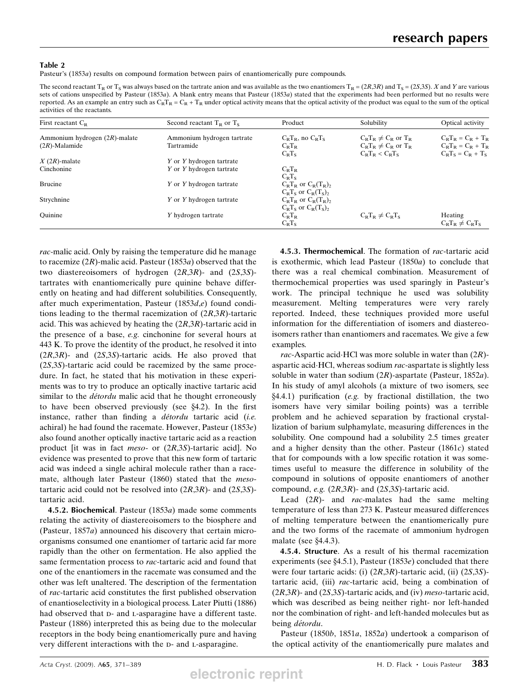#### Table 2

Pasteur's (1853*a*) results on compound formation between pairs of enantiomerically pure compounds.

The second reactant T<sub>R</sub> or T<sub>S</sub> was always based on the tartrate anion and was available as the two enantiomers T<sub>R</sub> = (2R,3R) and T<sub>S</sub> = (2S,3S). X and Y are various sets of cations unspecified by Pasteur (1853a). A blank entry means that Pasteur (1853a) stated that the experiments had been performed but no results were reported. As an example an entry such as  $C_R T_R = C_R + T_R$  under optical activity means that the optical activity of the product was equal to the sum of the optical activities of the reactants.

| First reactant $C_{R}$           | Second reactant $T_R$ or $T_S$ | Product                                        | Solubility                                         | Optical activity                                                      |
|----------------------------------|--------------------------------|------------------------------------------------|----------------------------------------------------|-----------------------------------------------------------------------|
| Ammonium hydrogen $(2R)$ -malate | Ammonium hydrogen tartrate     | $C_{\rm R}T_{\rm R}$ , no $C_{\rm R}T_{\rm S}$ | $C_{\rm R}T_{\rm R} \neq C_{\rm R}$ or $T_{\rm R}$ | $C_R T_R = C_R + T_R$                                                 |
| $(2R)$ -Malamide                 | Tartramide                     | $C_R T_R$<br>$C_R T_S$                         | $C_R T_R \neq C_R$ or $T_R$<br>$C_R T_R < C_R T_S$ | $C_R T_R = C_R + T_R$<br>$C_{\rm R}T_{\rm S} = C_{\rm R} + T_{\rm S}$ |
| $X(2R)$ -malate                  | Y or Y hydrogen tartrate       |                                                |                                                    |                                                                       |
| Cinchonine                       | Y or Y hydrogen tartrate       | $C_R T_R$                                      |                                                    |                                                                       |
|                                  |                                | $C_R T_S$                                      |                                                    |                                                                       |
| <b>Brucine</b>                   | Y or Y hydrogen tartrate       | $C_R T_R$ or $C_R(T_R)_2$                      |                                                    |                                                                       |
|                                  |                                | $C_R T_S$ or $C_R(T_S)_2$                      |                                                    |                                                                       |
| Strychnine                       | Y or Y hydrogen tartrate       | $C_R T_R$ or $C_R(T_R)_2$                      |                                                    |                                                                       |
|                                  |                                | $C_{R}T_{S}$ or $C_{R}(T_{S})_{2}$             |                                                    |                                                                       |
| Ouinine                          | Y hydrogen tartrate            | $C_R T_R$                                      | $C_{R}T_{R} \neq C_{R}T_{S}$                       | Heating                                                               |
|                                  |                                | $C_R T_S$                                      |                                                    | $C_R T_R \neq C_R T_S$                                                |

rac-malic acid. Only by raising the temperature did he manage to racemize  $(2R)$ -malic acid. Pasteur  $(1853a)$  observed that the two diastereoisomers of hydrogen (2R,3R)- and (2S,3S) tartrates with enantiomerically pure quinine behave differently on heating and had different solubilities. Consequently, after much experimentation, Pasteur (1853d,e) found conditions leading to the thermal racemization of  $(2R,3R)$ -tartaric acid. This was achieved by heating the  $(2R,3R)$ -tartaric acid in the presence of a base, e.g. cinchonine for several hours at 443 K. To prove the identity of the product, he resolved it into  $(2R,3R)$ - and  $(2S,3S)$ -tartaric acids. He also proved that (2S,3S)-tartaric acid could be racemized by the same procedure. In fact, he stated that his motivation in these experiments was to try to produce an optically inactive tartaric acid similar to the *détordu* malic acid that he thought erroneously to have been observed previously (see  $\S 4.2$ ). In the first instance, rather than finding a  $d\acute{e}$  tartaric acid (i.e. achiral) he had found the racemate. However, Pasteur  $(1853e)$ also found another optically inactive tartaric acid as a reaction product [it was in fact meso- or (2R,3S)-tartaric acid]. No evidence was presented to prove that this new form of tartaric acid was indeed a single achiral molecule rather than a racemate, although later Pasteur (1860) stated that the mesotartaric acid could not be resolved into  $(2R,3R)$ - and  $(2S,3S)$ tartaric acid.

4.5.2. Biochemical. Pasteur (1853a) made some comments relating the activity of diastereoisomers to the biosphere and (Pasteur, 1857a) announced his discovery that certain microorganisms consumed one enantiomer of tartaric acid far more rapidly than the other on fermentation. He also applied the same fermentation process to rac-tartaric acid and found that one of the enantiomers in the racemate was consumed and the other was left unaltered. The description of the fermentation of rac-tartaric acid constitutes the first published observation of enantioselectivity in a biological process. Later Piutti (1886) had observed that  $D-$  and  $L$ -asparagine have a different taste. Pasteur (1886) interpreted this as being due to the molecular receptors in the body being enantiomerically pure and having very different interactions with the  $D-$  and *L*-asparagine.

4.5.3. Thermochemical. The formation of rac-tartaric acid is exothermic, which lead Pasteur  $(1850a)$  to conclude that there was a real chemical combination. Measurement of thermochemical properties was used sparingly in Pasteur's work. The principal technique he used was solubility measurement. Melting temperatures were very rarely reported. Indeed, these techniques provided more useful information for the differentiation of isomers and diastereoisomers rather than enantiomers and racemates. We give a few examples.

rac-Aspartic acid HCl was more soluble in water than  $(2R)$ aspartic acid HCl, whereas sodium rac-aspartate is slightly less soluble in water than sodium  $(2R)$ -aspartate (Pasteur, 1852a). In his study of amyl alcohols (a mixture of two isomers, see  $§4.4.1)$  purification (e.g. by fractional distillation, the two isomers have very similar boiling points) was a terrible problem and he achieved separation by fractional crystallization of barium sulphamylate, measuring differences in the solubility. One compound had a solubility 2.5 times greater and a higher density than the other. Pasteur  $(1861c)$  stated that for compounds with a low specific rotation it was sometimes useful to measure the difference in solubility of the compound in solutions of opposite enantiomers of another compound, e.g.  $(2R,3R)$ - and  $(2S,3S)$ -tartaric acid.

Lead  $(2R)$ - and rac-malates had the same melting temperature of less than 273 K. Pasteur measured differences of melting temperature between the enantiomerically pure and the two forms of the racemate of ammonium hydrogen malate (see  $\S$ 4.4.3).

4.5.4. Structure. As a result of his thermal racemization experiments (see  $\S 4.5.1$ ), Pasteur (1853*e*) concluded that there were four tartaric acids: (i)  $(2R,3R)$ -tartaric acid, (ii)  $(2S,3S)$ tartaric acid, (iii) rac-tartaric acid, being a combination of  $(2R,3R)$ - and  $(2S,3S)$ -tartaric acids, and (iv) *meso*-tartaric acid, which was described as being neither right- nor left-handed nor the combination of right- and left-handed molecules but as being *détordu*.

Pasteur (1850b, 1851a, 1852a) undertook a comparison of the optical activity of the enantiomerically pure malates and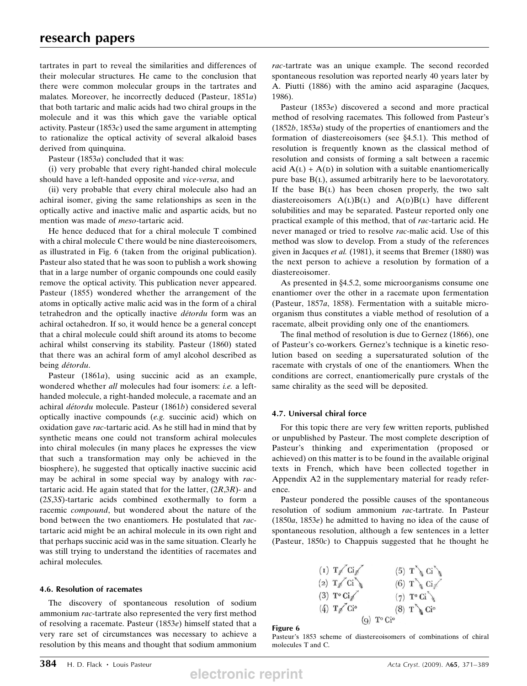tartrates in part to reveal the similarities and differences of their molecular structures. He came to the conclusion that there were common molecular groups in the tartrates and malates. Moreover, he incorrectly deduced (Pasteur, 1851a) that both tartaric and malic acids had two chiral groups in the molecule and it was this which gave the variable optical activity. Pasteur  $(1853c)$  used the same argument in attempting to rationalize the optical activity of several alkaloid bases derived from quinquina.

Pasteur (1853*a*) concluded that it was:

(i) very probable that every right-handed chiral molecule should have a left-handed opposite and vice-versa, and

(ii) very probable that every chiral molecule also had an achiral isomer, giving the same relationships as seen in the optically active and inactive malic and aspartic acids, but no mention was made of meso-tartaric acid.

He hence deduced that for a chiral molecule T combined with a chiral molecule C there would be nine diastereoisomers, as illustrated in Fig. 6 (taken from the original publication). Pasteur also stated that he was soon to publish a work showing that in a large number of organic compounds one could easily remove the optical activity. This publication never appeared. Pasteur (1855) wondered whether the arrangement of the atoms in optically active malic acid was in the form of a chiral tetrahedron and the optically inactive *détordu* form was an achiral octahedron. If so, it would hence be a general concept that a chiral molecule could shift around its atoms to become achiral whilst conserving its stability. Pasteur (1860) stated that there was an achiral form of amyl alcohol described as being détordu.

Pasteur (1861*a*), using succinic acid as an example, wondered whether all molecules had four isomers: *i.e.* a lefthanded molecule, a right-handed molecule, a racemate and an achiral *détordu* molecule. Pasteur (1861b) considered several optically inactive compounds (e.g. succinic acid) which on oxidation gave rac-tartaric acid. As he still had in mind that by synthetic means one could not transform achiral molecules into chiral molecules (in many places he expresses the view that such a transformation may only be achieved in the biosphere), he suggested that optically inactive succinic acid may be achiral in some special way by analogy with ractartaric acid. He again stated that for the latter,  $(2R,3R)$ - and (2S,3S)-tartaric acids combined exothermally to form a racemic compound, but wondered about the nature of the bond between the two enantiomers. He postulated that ractartaric acid might be an achiral molecule in its own right and that perhaps succinic acid was in the same situation. Clearly he was still trying to understand the identities of racemates and achiral molecules.

## 4.6. Resolution of racemates

The discovery of spontaneous resolution of sodium ammonium rac-tartrate also represented the very first method of resolving a racemate. Pasteur (1853e) himself stated that a very rare set of circumstances was necessary to achieve a resolution by this means and thought that sodium ammonium

rac-tartrate was an unique example. The second recorded spontaneous resolution was reported nearly 40 years later by A. Piutti (1886) with the amino acid asparagine (Jacques, 1986).

Pasteur (1853e) discovered a second and more practical method of resolving racemates. This followed from Pasteur's  $(1852b, 1853a)$  study of the properties of enantiomers and the formation of diastereoisomers (see  $§4.5.1$ ). This method of resolution is frequently known as the classical method of resolution and consists of forming a salt between a racemic acid  $A(L) + A(D)$  in solution with a suitable enantiomerically pure base  $B(L)$ , assumed arbitrarily here to be laevorotatory. If the base  $B(L)$  has been chosen properly, the two salt diastereoisomers  $A(L)B(L)$  and  $A(D)B(L)$  have different solubilities and may be separated. Pasteur reported only one practical example of this method, that of rac-tartaric acid. He never managed or tried to resolve rac-malic acid. Use of this method was slow to develop. From a study of the references given in Jacques et al. (1981), it seems that Bremer (1880) was the next person to achieve a resolution by formation of a diastereoisomer.

As presented in  $§4.5.2$ , some microorganisms consume one enantiomer over the other in a racemate upon fermentation (Pasteur, 1857a, 1858). Fermentation with a suitable microorganism thus constitutes a viable method of resolution of a racemate, albeit providing only one of the enantiomers.

The final method of resolution is due to Gernez (1866), one of Pasteur's co-workers. Gernez's technique is a kinetic resolution based on seeding a supersaturated solution of the racemate with crystals of one of the enantiomers. When the conditions are correct, enantiomerically pure crystals of the same chirality as the seed will be deposited.

## 4.7. Universal chiral force

For this topic there are very few written reports, published or unpublished by Pasteur. The most complete description of Pasteur's thinking and experimentation (proposed or achieved) on this matter is to be found in the available original texts in French, which have been collected together in Appendix A2 in the supplementary material for ready reference.

Pasteur pondered the possible causes of the spontaneous resolution of sodium ammonium rac-tartrate. In Pasteur (1850a, 1853e) he admitted to having no idea of the cause of spontaneous resolution, although a few sentences in a letter (Pasteur, 1850c) to Chappuis suggested that he thought he

| (r) | $T \nearrow$ Ci | (5) | $T \searrow$ Ci |
|-----|-----------------|-----|-----------------|
| (2) | $T \nearrow$ Ci | (6) | $T \searrow$ Ci |
| (3) | $T^{\circ}$ Ci  | (7) | $T^{\circ}$ Ci  |
| (4) | $T \nearrow$ Ci | (8) | $T \searrow$ Ci |
| (9) | $T^{\circ}$ Ci  | (9) | $T^{\circ}$ Ci  |

Figure 6

Pasteur's 1853 scheme of diastereoisomers of combinations of chiral molecules T and C.

**electronic reprint**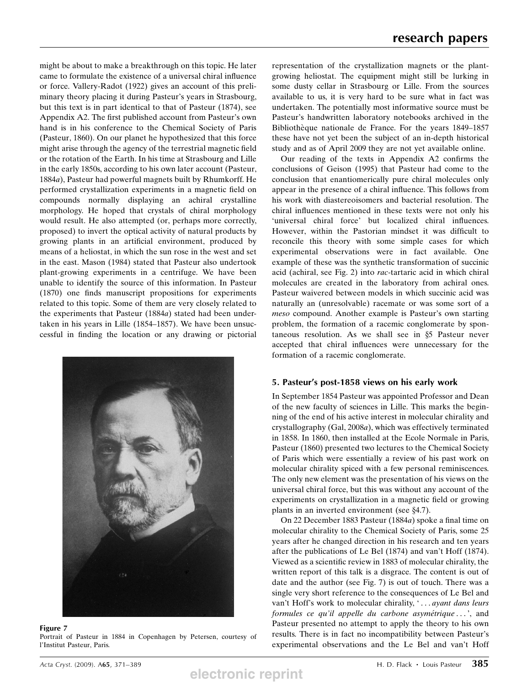might be about to make a breakthrough on this topic. He later came to formulate the existence of a universal chiral influence or force. Vallery-Radot (1922) gives an account of this preliminary theory placing it during Pasteur's years in Strasbourg, but this text is in part identical to that of Pasteur (1874), see Appendix A2. The first published account from Pasteur's own hand is in his conference to the Chemical Society of Paris (Pasteur, 1860). On our planet he hypothesized that this force might arise through the agency of the terrestrial magnetic field or the rotation of the Earth. In his time at Strasbourg and Lille in the early 1850s, according to his own later account (Pasteur, 1884a), Pasteur had powerful magnets built by Rhumkorff. He performed crystallization experiments in a magnetic field on compounds normally displaying an achiral crystalline morphology. He hoped that crystals of chiral morphology would result. He also attempted (or, perhaps more correctly, proposed) to invert the optical activity of natural products by growing plants in an artificial environment, produced by means of a heliostat, in which the sun rose in the west and set in the east. Mason (1984) stated that Pasteur also undertook plant-growing experiments in a centrifuge. We have been unable to identify the source of this information. In Pasteur (1870) one finds manuscript propositions for experiments related to this topic. Some of them are very closely related to the experiments that Pasteur (1884a) stated had been undertaken in his years in Lille (1854–1857). We have been unsuccessful in finding the location or any drawing or pictorial



Figure 7 Portrait of Pasteur in 1884 in Copenhagen by Petersen, courtesy of l'Institut Pasteur, Paris.

representation of the crystallization magnets or the plantgrowing heliostat. The equipment might still be lurking in some dusty cellar in Strasbourg or Lille. From the sources available to us, it is very hard to be sure what in fact was undertaken. The potentially most informative source must be Pasteur's handwritten laboratory notebooks archived in the Bibliothèque nationale de France. For the years 1849–1857 these have not yet been the subject of an in-depth historical study and as of April 2009 they are not yet available online.

Our reading of the texts in Appendix A2 confirms the conclusions of Geison (1995) that Pasteur had come to the conclusion that enantiomerically pure chiral molecules only appear in the presence of a chiral influence. This follows from his work with diastereoisomers and bacterial resolution. The chiral influences mentioned in these texts were not only his 'universal chiral force' but localized chiral influences. However, within the Pastorian mindset it was difficult to reconcile this theory with some simple cases for which experimental observations were in fact available. One example of these was the synthetic transformation of succinic acid (achiral, see Fig. 2) into rac-tartaric acid in which chiral molecules are created in the laboratory from achiral ones. Pasteur waivered between models in which succinic acid was naturally an (unresolvable) racemate or was some sort of a meso compound. Another example is Pasteur's own starting problem, the formation of a racemic conglomerate by spontaneous resolution. As we shall see in  $\S5$  Pasteur never accepted that chiral influences were unnecessary for the formation of a racemic conglomerate.

## 5. Pasteur's post-1858 views on his early work

In September 1854 Pasteur was appointed Professor and Dean of the new faculty of sciences in Lille. This marks the beginning of the end of his active interest in molecular chirality and crystallography (Gal, 2008a), which was effectively terminated in 1858. In 1860, then installed at the Ecole Normale in Paris, Pasteur (1860) presented two lectures to the Chemical Society of Paris which were essentially a review of his past work on molecular chirality spiced with a few personal reminiscences. The only new element was the presentation of his views on the universal chiral force, but this was without any account of the experiments on crystallization in a magnetic field or growing plants in an inverted environment (see  $\S 4.7$ ).

On 22 December 1883 Pasteur (1884a) spoke a final time on molecular chirality to the Chemical Society of Paris, some 25 years after he changed direction in his research and ten years after the publications of Le Bel (1874) and van't Hoff (1874). Viewed as a scientific review in 1883 of molecular chirality, the written report of this talk is a disgrace. The content is out of date and the author (see Fig. 7) is out of touch. There was a single very short reference to the consequences of Le Bel and van't Hoff's work to molecular chirality, '... ayant dans leurs formules ce qu'il appelle du carbone asymétrique ...', and Pasteur presented no attempt to apply the theory to his own results. There is in fact no incompatibility between Pasteur's experimental observations and the Le Bel and van't Hoff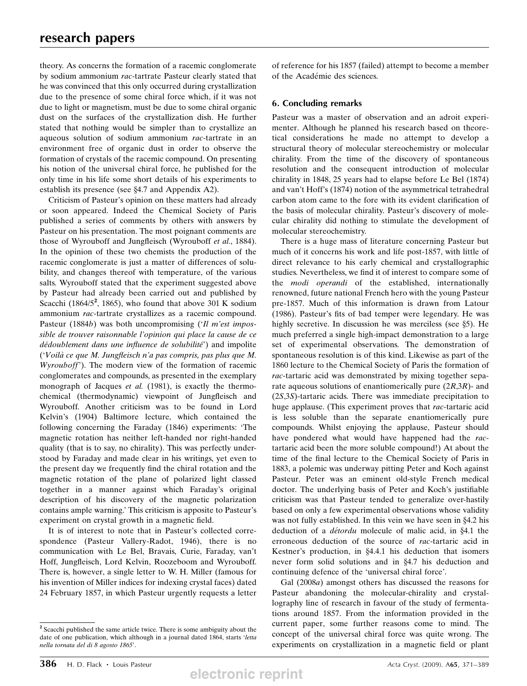theory. As concerns the formation of a racemic conglomerate by sodium ammonium rac-tartrate Pasteur clearly stated that he was convinced that this only occurred during crystallization due to the presence of some chiral force which, if it was not due to light or magnetism, must be due to some chiral organic dust on the surfaces of the crystallization dish. He further stated that nothing would be simpler than to crystallize an aqueous solution of sodium ammonium rac-tartrate in an environment free of organic dust in order to observe the formation of crystals of the racemic compound. On presenting his notion of the universal chiral force, he published for the only time in his life some short details of his experiments to establish its presence (see  $\S 4.7$  and Appendix A2).

Criticism of Pasteur's opinion on these matters had already or soon appeared. Indeed the Chemical Society of Paris published a series of comments by others with answers by Pasteur on his presentation. The most poignant comments are those of Wyrouboff and Jungfleisch (Wyrouboff et al., 1884). In the opinion of these two chemists the production of the racemic conglomerate is just a matter of differences of solubility, and changes thereof with temperature, of the various salts. Wyrouboff stated that the experiment suggested above by Pasteur had already been carried out and published by Scacchi (1864/ $5^2$ , 1865), who found that above 301 K sodium ammonium rac-tartrate crystallizes as a racemic compound. Pasteur (1884b) was both uncompromising ('Il m'est impossible de trouver raisonnable l'opinion qui place la cause de ce dédoublement dans une influence de solubilité<sup>\*</sup>) and impolite ('Voila` ce que M. Jungfleisch n'a pas compris, pas plus que M. Wyrouboff'). The modern view of the formation of racemic conglomerates and compounds, as presented in the exemplary monograph of Jacques *et al.* (1981), is exactly the thermochemical (thermodynamic) viewpoint of Jungfleisch and Wyrouboff. Another criticism was to be found in Lord Kelvin's (1904) Baltimore lecture, which contained the following concerning the Faraday (1846) experiments: 'The magnetic rotation has neither left-handed nor right-handed quality (that is to say, no chirality). This was perfectly understood by Faraday and made clear in his writings, yet even to the present day we frequently find the chiral rotation and the magnetic rotation of the plane of polarized light classed together in a manner against which Faraday's original description of his discovery of the magnetic polarization contains ample warning.' This criticism is apposite to Pasteur's experiment on crystal growth in a magnetic field.

It is of interest to note that in Pasteur's collected correspondence (Pasteur Vallery-Radot, 1946), there is no communication with Le Bel, Bravais, Curie, Faraday, van't Hoff, Jungfleisch, Lord Kelvin, Roozeboom and Wyrouboff. There is, however, a single letter to W. H. Miller (famous for his invention of Miller indices for indexing crystal faces) dated 24 February 1857, in which Pasteur urgently requests a letter of reference for his 1857 (failed) attempt to become a member of the Académie des sciences.

## 6. Concluding remarks

Pasteur was a master of observation and an adroit experimenter. Although he planned his research based on theoretical considerations he made no attempt to develop a structural theory of molecular stereochemistry or molecular chirality. From the time of the discovery of spontaneous resolution and the consequent introduction of molecular chirality in 1848, 25 years had to elapse before Le Bel (1874) and van't Hoff's (1874) notion of the asymmetrical tetrahedral carbon atom came to the fore with its evident clarification of the basis of molecular chirality. Pasteur's discovery of molecular chirality did nothing to stimulate the development of molecular stereochemistry.

There is a huge mass of literature concerning Pasteur but much of it concerns his work and life post-1857, with little of direct relevance to his early chemical and crystallographic studies. Nevertheless, we find it of interest to compare some of the *modi operandi* of the established, internationally renowned, future national French hero with the young Pasteur pre-1857. Much of this information is drawn from Latour (1986). Pasteur's fits of bad temper were legendary. He was highly secretive. In discussion he was merciless (see  $\S$ 5). He much preferred a single high-impact demonstration to a large set of experimental observations. The demonstration of spontaneous resolution is of this kind. Likewise as part of the 1860 lecture to the Chemical Society of Paris the formation of rac-tartaric acid was demonstrated by mixing together separate aqueous solutions of enantiomerically pure  $(2R,3R)$ - and (2S,3S)-tartaric acids. There was immediate precipitation to huge applause. (This experiment proves that *rac*-tartaric acid is less soluble than the separate enantiomerically pure compounds. Whilst enjoying the applause, Pasteur should have pondered what would have happened had the ractartaric acid been the more soluble compound!) At about the time of the final lecture to the Chemical Society of Paris in 1883, a polemic was underway pitting Peter and Koch against Pasteur. Peter was an eminent old-style French medical doctor. The underlying basis of Peter and Koch's justifiable criticism was that Pasteur tended to generalize over-hastily based on only a few experimental observations whose validity was not fully established. In this vein we have seen in §4.2 his deduction of a *détordu* molecule of malic acid, in  $§4.1$  the erroneous deduction of the source of rac-tartaric acid in Kestner's production, in  $§4.4.1$  his deduction that isomers never form solid solutions and in  $\S 4.7$  his deduction and continuing defence of the 'universal chiral force'.

Gal (2008a) amongst others has discussed the reasons for Pasteur abandoning the molecular-chirality and crystallography line of research in favour of the study of fermentations around 1857. From the information provided in the current paper, some further reasons come to mind. The concept of the universal chiral force was quite wrong. The experiments on crystallization in a magnetic field or plant

<sup>2</sup> Scacchi published the same article twice. There is some ambiguity about the date of one publication, which although in a journal dated 1864, starts 'letta nella tornata del di 8 agosto 1865'.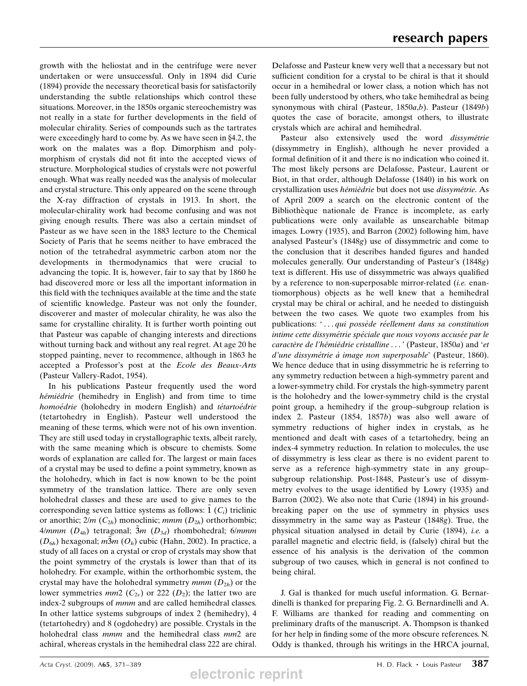growth with the heliostat and in the centrifuge were never undertaken or were unsuccessful. Only in 1894 did Curie (1894) provide the necessary theoretical basis for satisfactorily understanding the subtle relationships which control these situations. Moreover, in the 1850s organic stereochemistry was not really in a state for further developments in the field of molecular chirality. Series of compounds such as the tartrates were exceedingly hard to come by. As we have seen in  $§4.2$ , the work on the malates was a flop. Dimorphism and polymorphism of crystals did not fit into the accepted views of structure. Morphological studies of crystals were not powerful enough. What was really needed was the analysis of molecular and crystal structure. This only appeared on the scene through the X-ray diffraction of crystals in 1913. In short, the molecular-chirality work had become confusing and was not giving enough results. There was also a certain mindset of Pasteur as we have seen in the 1883 lecture to the Chemical Society of Paris that he seems neither to have embraced the notion of the tetrahedral asymmetric carbon atom nor the developments in thermodynamics that were crucial to advancing the topic. It is, however, fair to say that by 1860 he had discovered more or less all the important information in this field with the techniques available at the time and the state of scientific knowledge. Pasteur was not only the founder, discoverer and master of molecular chirality, he was also the same for crystalline chirality. It is further worth pointing out that Pasteur was capable of changing interests and directions without turning back and without any real regret. At age 20 he stopped painting, never to recommence, although in 1863 he accepted a Professor's post at the Ecole des Beaux-Arts (Pasteur Vallery-Radot, 1954).

In his publications Pasteur frequently used the word hémiédrie (hemihedry in English) and from time to time homoédrie (holohedry in modern English) and tétartoédrie (tetartohedry in English). Pasteur well understood the meaning of these terms, which were not of his own invention. They are still used today in crystallographic texts, albeit rarely, with the same meaning which is obscure to chemists. Some words of explanation are called for. The largest or main faces of a crystal may be used to define a point symmetry, known as the holohedry, which in fact is now known to be the point symmetry of the translation lattice. There are only seven holohedral classes and these are used to give names to the corresponding seven lattice systems as follows:  $\overline{1}$  ( $C_i$ ) triclinic or anorthic;  $2/m$  ( $C_{2h}$ ) monoclinic; mmm ( $D_{2h}$ ) orthorhombic;  $4/mmm$   $(D_{4h})$  tetragonal;  $\bar{3}m$   $(D_{3d})$  rhombohedral; 6/mmm  $(D_{6h})$  hexagonal;  $m\overline{3}m$   $(O_h)$  cubic (Hahn, 2002). In practice, a study of all faces on a crystal or crop of crystals may show that the point symmetry of the crystals is lower than that of its holohedry. For example, within the orthorhombic system, the crystal may have the holohedral symmetry *mmm*  $(D_{2h})$  or the lower symmetries  $mm2 (C_{2v})$  or 222  $(D_2)$ ; the latter two are index-2 subgroups of mmm and are called hemihedral classes. In other lattice systems subgroups of index 2 (hemihedry), 4 (tetartohedry) and 8 (ogdohedry) are possible. Crystals in the holohedral class mmm and the hemihedral class mm2 are achiral, whereas crystals in the hemihedral class 222 are chiral.

Delafosse and Pasteur knew very well that a necessary but not sufficient condition for a crystal to be chiral is that it should occur in a hemihedral or lower class, a notion which has not been fully understood by others, who take hemihedral as being synonymous with chiral (Pasteur,  $1850a,b$ ). Pasteur (1849b) quotes the case of boracite, amongst others, to illustrate crystals which are achiral and hemihedral.

Pasteur also extensively used the word dissymétrie (dissymmetry in English), although he never provided a formal definition of it and there is no indication who coined it. The most likely persons are Delafosse, Pasteur, Laurent or Biot, in that order, although Delafosse (1840) in his work on crystallization uses hémièdrie but does not use dissymétrie. As of April 2009 a search on the electronic content of the Bibliothèque nationale de France is incomplete, as early publications were only available as unsearchable bitmap images. Lowry (1935), and Barron (2002) following him, have analysed Pasteur's (1848g) use of dissymmetric and come to the conclusion that it describes handed figures and handed molecules generally. Our understanding of Pasteur's (1848g) text is different. His use of dissymmetric was always qualified by a reference to non-superposable mirror-related (i.e. enantiomorphous) objects as he well knew that a hemihedral crystal may be chiral or achiral, and he needed to distinguish between the two cases. We quote two examples from his publications: '...qui possède réellement dans sa constitution intime cette dissymétrie spéciale que nous voyons accusée par le caractère de l'hémiédrie cristalline ...' (Pasteur, 1850a) and 'et d'une dissymétrie à image non superposable' (Pasteur, 1860). We hence deduce that in using dissymmetric he is referring to any symmetry reduction between a high-symmetry parent and a lower-symmetry child. For crystals the high-symmetry parent is the holohedry and the lower-symmetry child is the crystal point group, a hemihedry if the group–subgroup relation is index 2. Pasteur (1854, 1857b) was also well aware of symmetry reductions of higher index in crystals, as he mentioned and dealt with cases of a tetartohedry, being an index-4 symmetry reduction. In relation to molecules, the use of dissymmetry is less clear as there is no evident parent to serve as a reference high-symmetry state in any group– subgroup relationship. Post-1848, Pasteur's use of dissymmetry evolves to the usage identified by Lowry (1935) and Barron (2002). We also note that Curie (1894) in his groundbreaking paper on the use of symmetry in physics uses dissymmetry in the same way as Pasteur (1848g). True, the physical situation analysed in detail by Curie (1894), i.e. a parallel magnetic and electric field, is (falsely) chiral but the essence of his analysis is the derivation of the common subgroup of two causes, which in general is not confined to being chiral.

J. Gal is thanked for much useful information. G. Bernardinelli is thanked for preparing Fig. 2. G. Bernardinelli and A. F. Williams are thanked for reading and commenting on preliminary drafts of the manuscript. A. Thompson is thanked for her help in finding some of the more obscure references. N. Oddy is thanked, through his writings in the HRCA journal,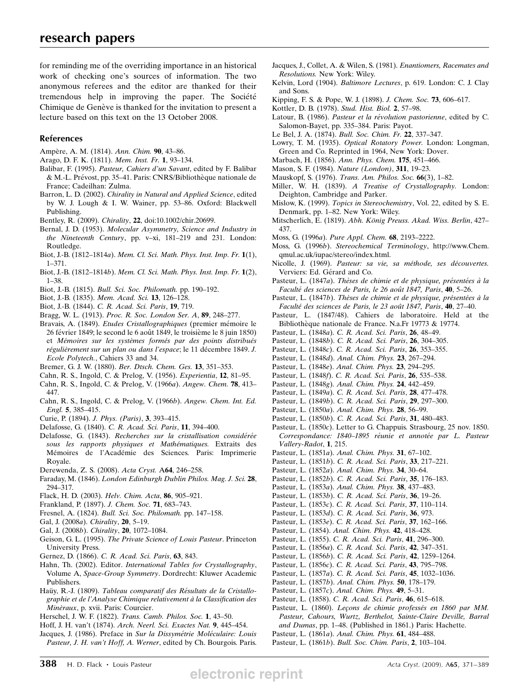for reminding me of the overriding importance in an historical work of checking one's sources of information. The two anonymous referees and the editor are thanked for their tremendous help in improving the paper. The Société Chimique de Genève is thanked for the invitation to present a lecture based on this text on the 13 October 2008.

## References

- Ampère, A. M. (1814). Ann. Chim. 90, 43-86.
- Arago, D. F. K. (1811). Mem. Inst. Fr. 1, 93–134.
- Balibar, F. (1995). Pasteur, Cahiers d'un Savant, edited by F. Balibar & M.-L. Prévost, pp. 35–41. Paris: CNRS/Bibliothèque nationale de France; Cadeilhan: Zulma.
- Barron, L. D. (2002). Chirality in Natural and Applied Science, edited by W. J. Lough & I. W. Wainer, pp. 53–86. Oxford: Blackwell Publishing.
- Bentley, R. (2009). Chirality, 22, doi:10.1002/chir.20699.
- Bernal, J. D. (1953). Molecular Asymmetry, Science and Industry in the Nineteenth Century, pp. v–xi, 181–219 and 231. London: Routledge.
- Biot, J.-B. (1812–1814a). Mem. Cl. Sci. Math. Phys. Inst. Imp. Fr. 1(1), 1–371.
- Biot, J.-B. (1812–1814b). Mem. Cl. Sci. Math. Phys. Inst. Imp. Fr. 1(2), 1–38.
- Biot, J.-B. (1815). Bull. Sci. Soc. Philomath. pp. 190–192.
- Biot, J.-B. (1835). Mem. Acad. Sci. 13, 126–128.
- Biot, J.-B. (1844). C. R. Acad. Sci. Paris, 19, 719.
- Bragg, W. L. (1913). Proc. R. Soc. London Ser. A, 89, 248–277.
- Bravais, A. (1849). Etudes Cristallographiques (premier mémoire le 26 février 1849; le second le 6 août 1849, le troisième le 8 juin 1850) et Mémoires sur les systèmes formés par des points distribués régulièrement sur un plan ou dans l'espace; le 11 décembre 1849. J. Ecole Polytech., Cahiers 33 and 34.
- Bremer, G. J. W. (1880). Ber. Dtsch. Chem. Ges. 13, 351–353.
- Cahn, R. S., Ingold, C. & Prelog, V. (1956). Experientia, 12, 81–95.
- Cahn, R. S., Ingold, C. & Prelog, V. (1966a). Angew. Chem. 78, 413– 447.
- Cahn, R. S., Ingold, C. & Prelog, V. (1966b). Angew. Chem. Int. Ed. Engl. 5, 385–415.
- Curie, P. (1894). J. Phys. (Paris), 3, 393–415.
- Delafosse, G. (1840). C. R. Acad. Sci. Paris, 11, 394–400.
- Delafosse, G. (1843). Recherches sur la cristallisation considérée sous les rapports physiques et Mathématiques. Extraits des Mémoires de l'Académie des Sciences. Paris: Imprimerie Royale.
- Derewenda, Z. S. (2008). Acta Cryst. A64, 246–258.
- Faraday, M. (1846). London Edinburgh Dublin Philos. Mag. J. Sci. 28, 294–317.
- Flack, H. D. (2003). Helv. Chim. Acta, 86, 905–921.
- Frankland, P. (1897). J. Chem. Soc. 71, 683–743.
- Fresnel, A. (1824). Bull. Sci. Soc. Philomath. pp. 147–158.
- Gal, J. (2008a). Chirality, 20, 5–19.
- Gal, J. (2008b). Chirality, 20, 1072–1084.
- Geison, G. L. (1995). The Private Science of Louis Pasteur. Princeton University Press.
- Gernez, D. (1866). C. R. Acad. Sci. Paris, 63, 843.
- Hahn, Th. (2002). Editor. International Tables for Crystallography, Volume A, Space-Group Symmetry. Dordrecht: Kluwer Academic Publishers.
- Haüy, R.-J. (1809). Tableau comparatif des Résultats de la Cristallographie et de l'Analyse Chimique relativement à la Classification des Minèraux, p. xvii. Paris: Courcier.
- Herschel, J. W. F. (1822). Trans. Camb. Philos. Soc. 1, 43–50.
- Hoff, J. H. van't (1874). Arch. Neerl. Sci. Exactes Nat. 9, 445–454.

Jacques, J. (1986). Preface in Sur la Dissymétrie Moléculaire: Louis Pasteur, J. H. van't Hoff, A. Werner, edited by Ch. Bourgois. Paris.

- Jacques, J., Collet, A. & Wilen, S. (1981). Enantiomers, Racemates and Resolutions. New York: Wiley.
- Kelvin, Lord (1904). Baltimore Lectures, p. 619. London: C. J. Clay and Sons.
- Kipping, F. S. & Pope, W. J. (1898). J. Chem. Soc. 73, 606–617.
- Kottler, D. B. (1978). Stud. Hist. Biol. 2, 57–98.
- Latour, B. (1986). Pasteur et la révolution pastorienne, edited by C. Salomon-Bayet, pp. 335–384. Paris: Payot.
- Le Bel, J. A. (1874). Bull. Soc. Chim. Fr. 22, 337–347.
- Lowry, T. M. (1935). Optical Rotatory Power. London: Longman, Green and Co. Reprinted in 1964, New York: Dover.
- Marbach, H. (1856). Ann. Phys. Chem. 175, 451–466.
- Mason, S. F. (1984). Nature (London), 311, 19–23.
- Mauskopf, S. (1976). Trans. Am. Philos. Soc. 66(3), 1–82.
- Miller, W. H. (1839). A Treatise of Crystallography. London: Deighton, Cambridge and Parker.
- Mislow, K. (1999). Topics in Stereochemistry, Vol. 22, edited by S. E. Denmark, pp. 1–82. New York: Wiley.
- Mitscherlich, E. (1819). Abh. König Preuss. Akad. Wiss. Berlin, 427-437.
- Moss, G. (1996a). Pure Appl. Chem. 68, 2193–2222.
- Moss, G. (1996b). Stereochemical Terminology, http://www.Chem. qmul.ac.uk/iupac/stereo/index.html.
- Nicolle, J. (1969). Pasteur: sa vie, sa méthode, ses découvertes. Verviers: Ed. Gérard and Co.
- Pasteur, L. (1847a). Thèses de chimie et de physique, présentées à la Faculté des sciences de Paris, le 26 août 1847, Paris, 40, 5–26.
- Pasteur, L. (1847b). Thèses de chimie et de physique, présentées à la Faculté des sciences de Paris, le 23 août 1847, Paris, 40, 27-40.
- Pasteur, L. (1847/48). Cahiers de laboratoire. Held at the Bibliothèque nationale de France. N.a.Fr 19773 & 19774.
- Pasteur, L. (1848a). C. R. Acad. Sci. Paris, 26, 48–49.
- Pasteur, L. (1848b). C. R. Acad. Sci. Paris, 26, 304–305.
- Pasteur, L. (1848c). C. R. Acad. Sci. Paris, 26, 353–355.
- Pasteur, L. (1848d). Anal. Chim. Phys. 23, 267–294.
- Pasteur, L. (1848e). Anal. Chim. Phys. 23, 294–295.
- Pasteur, L. (1848f). C. R. Acad. Sci. Paris, 26, 535–538.
- Pasteur, L. (1848g). Anal. Chim. Phys. 24, 442–459.
- Pasteur, L. (1849a). C. R. Acad. Sci. Paris, 28, 477–478.
- Pasteur, L. (1849b). C. R. Acad. Sci. Paris, 29, 297–300. Pasteur, L. (1850a). Anal. Chim. Phys. 28, 56–99.
- Pasteur, L. (1850b). C. R. Acad. Sci. Paris, 31, 480-483.
- Pasteur, L. (1850c). Letter to G. Chappuis. Strasbourg, 25 nov. 1850.
- Correspondance: 1840-1895 réunie et annotée par L. Pasteur Vallery-Radot, 1, 215.
- Pasteur, L. (1851a). Anal. Chim. Phys. 31, 67–102.
- Pasteur, L. (1851b). C. R. Acad. Sci. Paris, 33, 217–221.
- Pasteur, L. (1852a). Anal. Chim. Phys. 34, 30–64.
- Pasteur, L. (1852b). C. R. Acad. Sci. Paris, 35, 176–183.
- Pasteur, L. (1853a). Anal. Chim. Phys. 38, 437–483.
- Pasteur, L. (1853b). C. R. Acad. Sci. Paris, 36, 19–26.
- Pasteur, L. (1853c). C. R. Acad. Sci. Paris, 37, 110–114.
- Pasteur, L. (1853d). C. R. Acad. Sci. Paris, 36, 973.
- Pasteur, L. (1853e). C. R. Acad. Sci. Paris, 37, 162–166.
- Pasteur, L. (1854). Anal. Chim. Phys. 42, 418–428.
- Pasteur, L. (1855). C. R. Acad. Sci. Paris, 41, 296–300.
- Pasteur, L. (1856a). C. R. Acad. Sci. Paris, 42, 347–351. Pasteur, L. (1856b). C. R. Acad. Sci. Paris, 42, 1259–1264.
- Pasteur, L. (1856c). C. R. Acad. Sci. Paris, 43, 795–798.
- Pasteur, L. (1857a). C. R. Acad. Sci. Paris, 45, 1032-1036.
- Pasteur, L. (1857b). Anal. Chim. Phys. 50, 178–179.
- Pasteur, L. (1857c). Anal. Chim. Phys. 49, 5–31.
- Pasteur, L. (1858). C. R. Acad. Sci. Paris, 46, 615–618.
- Pasteur, L. (1860). Leçons de chimie professés en 1860 par MM. Pasteur, Cahours, Wurtz, Berthelot, Sainte-Claire Deville, Barral and Dumas, pp. 1–48. (Published in 1861.) Paris: Hachette.
- Pasteur, L. (1861a). Anal. Chim. Phys. 61, 484–488.
- Pasteur, L. (1861b). Bull. Soc. Chim. Paris, 2, 103–104.